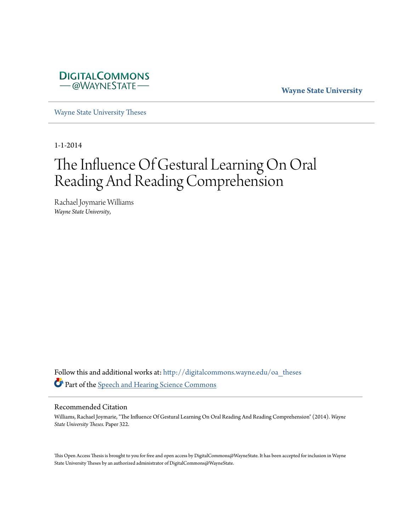

**Wayne State University**

[Wayne State University Theses](http://digitalcommons.wayne.edu/oa_theses?utm_source=digitalcommons.wayne.edu%2Foa_theses%2F322&utm_medium=PDF&utm_campaign=PDFCoverPages)

1-1-2014

# The Influence Of Gestural Learning On Oral Reading And Reading Comprehension

Rachael Joymarie Williams *Wayne State University*,

Follow this and additional works at: [http://digitalcommons.wayne.edu/oa\\_theses](http://digitalcommons.wayne.edu/oa_theses?utm_source=digitalcommons.wayne.edu%2Foa_theses%2F322&utm_medium=PDF&utm_campaign=PDFCoverPages) Part of the [Speech and Hearing Science Commons](http://network.bepress.com/hgg/discipline/1033?utm_source=digitalcommons.wayne.edu%2Foa_theses%2F322&utm_medium=PDF&utm_campaign=PDFCoverPages)

#### Recommended Citation

Williams, Rachael Joymarie, "The Influence Of Gestural Learning On Oral Reading And Reading Comprehension" (2014). *Wayne State University Theses.* Paper 322.

This Open Access Thesis is brought to you for free and open access by DigitalCommons@WayneState. It has been accepted for inclusion in Wayne State University Theses by an authorized administrator of DigitalCommons@WayneState.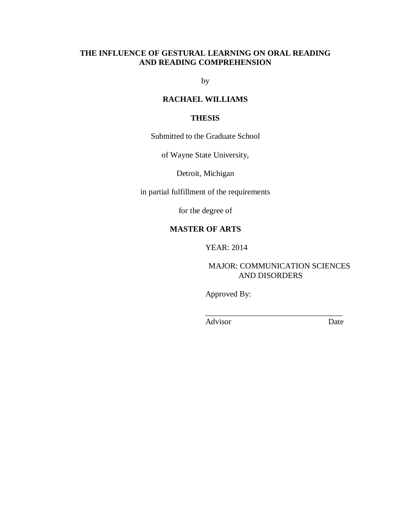# **THE INFLUENCE OF GESTURAL LEARNING ON ORAL READING AND READING COMPREHENSION**

by

# **RACHAEL WILLIAMS**

## **THESIS**

Submitted to the Graduate School

of Wayne State University,

Detroit, Michigan

in partial fulfillment of the requirements

for the degree of

# **MASTER OF ARTS**

YEAR: 2014

# MAJOR: COMMUNICATION SCIENCES AND DISORDERS

\_\_\_\_\_\_\_\_\_\_\_\_\_\_\_\_\_\_\_\_\_\_\_\_\_\_\_\_\_\_\_\_\_\_

Approved By:

Advisor Date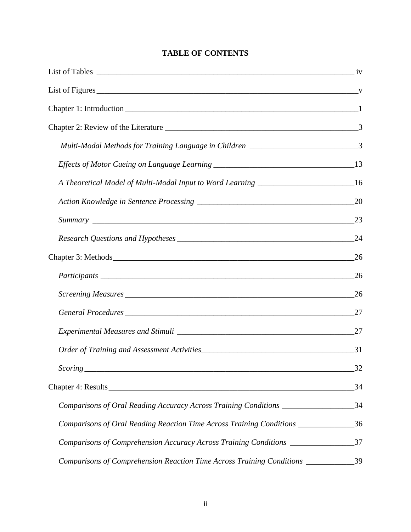# **TABLE OF CONTENTS**

| Multi-Modal Methods for Training Language in Children ___________________________3      |    |
|-----------------------------------------------------------------------------------------|----|
|                                                                                         |    |
| A Theoretical Model of Multi-Modal Input to Word Learning _______________________16     |    |
|                                                                                         |    |
|                                                                                         |    |
|                                                                                         |    |
|                                                                                         | 26 |
|                                                                                         | 26 |
|                                                                                         |    |
|                                                                                         |    |
|                                                                                         | 27 |
|                                                                                         |    |
|                                                                                         | 32 |
|                                                                                         |    |
| Comparisons of Oral Reading Accuracy Across Training Conditions _____________________34 |    |
| Comparisons of Oral Reading Reaction Time Across Training Conditions ____________       | 36 |
| Comparisons of Comprehension Accuracy Across Training Conditions _______________        | 37 |
| Comparisons of Comprehension Reaction Time Across Training Conditions ___________       | 39 |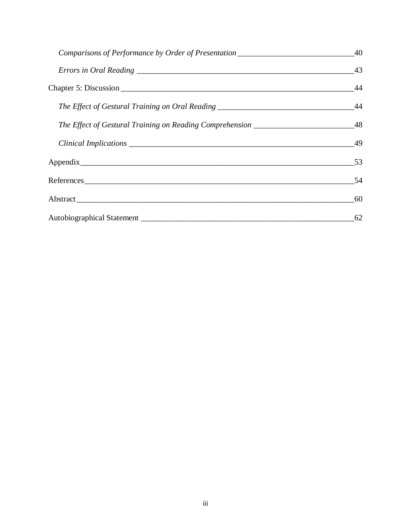|                                                                                         | 43 |
|-----------------------------------------------------------------------------------------|----|
|                                                                                         |    |
| The Effect of Gestural Training on Oral Reading ________________________________        | 44 |
| The Effect of Gestural Training on Reading Comprehension ____________________________48 |    |
|                                                                                         | 49 |
|                                                                                         | 53 |
| References                                                                              | 54 |
|                                                                                         | 60 |
|                                                                                         | 62 |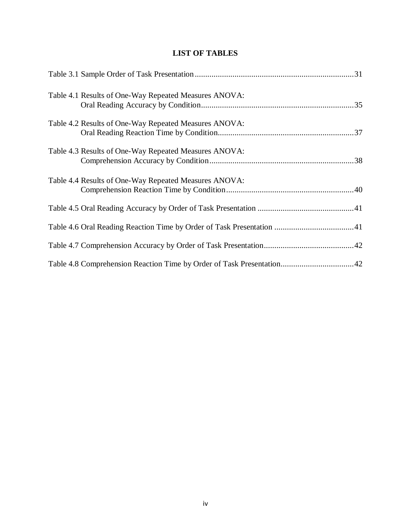# **LIST OF TABLES**

| Table 4.1 Results of One-Way Repeated Measures ANOVA: |
|-------------------------------------------------------|
| Table 4.2 Results of One-Way Repeated Measures ANOVA: |
| Table 4.3 Results of One-Way Repeated Measures ANOVA: |
| Table 4.4 Results of One-Way Repeated Measures ANOVA: |
|                                                       |
|                                                       |
|                                                       |
|                                                       |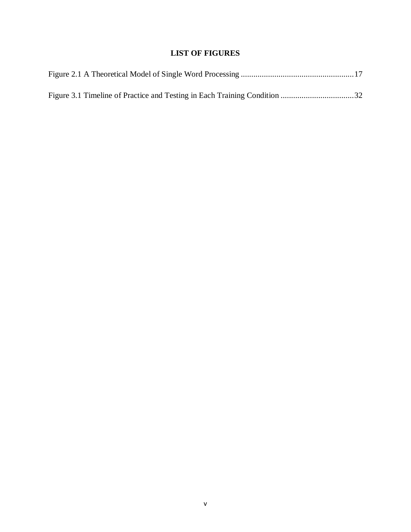# **LIST OF FIGURES**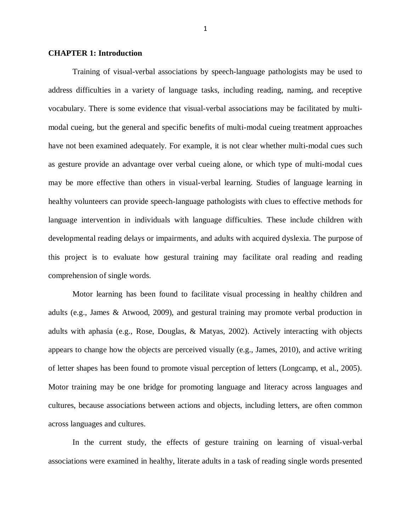#### **CHAPTER 1: Introduction**

Training of visual-verbal associations by speech-language pathologists may be used to address difficulties in a variety of language tasks, including reading, naming, and receptive vocabulary. There is some evidence that visual-verbal associations may be facilitated by multimodal cueing, but the general and specific benefits of multi-modal cueing treatment approaches have not been examined adequately. For example, it is not clear whether multi-modal cues such as gesture provide an advantage over verbal cueing alone, or which type of multi-modal cues may be more effective than others in visual-verbal learning. Studies of language learning in healthy volunteers can provide speech-language pathologists with clues to effective methods for language intervention in individuals with language difficulties. These include children with developmental reading delays or impairments, and adults with acquired dyslexia. The purpose of this project is to evaluate how gestural training may facilitate oral reading and reading comprehension of single words.

Motor learning has been found to facilitate visual processing in healthy children and adults (e.g., James & Atwood, 2009), and gestural training may promote verbal production in adults with aphasia (e.g., Rose, Douglas, & Matyas, 2002). Actively interacting with objects appears to change how the objects are perceived visually (e.g., James, 2010), and active writing of letter shapes has been found to promote visual perception of letters (Longcamp, et al., 2005). Motor training may be one bridge for promoting language and literacy across languages and cultures, because associations between actions and objects, including letters, are often common across languages and cultures.

In the current study, the effects of gesture training on learning of visual-verbal associations were examined in healthy, literate adults in a task of reading single words presented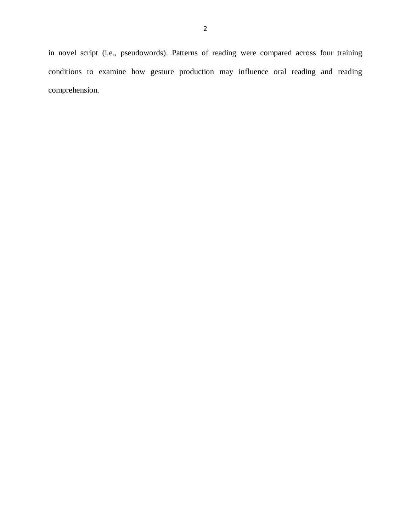in novel script (i.e., pseudowords). Patterns of reading were compared across four training conditions to examine how gesture production may influence oral reading and reading comprehension.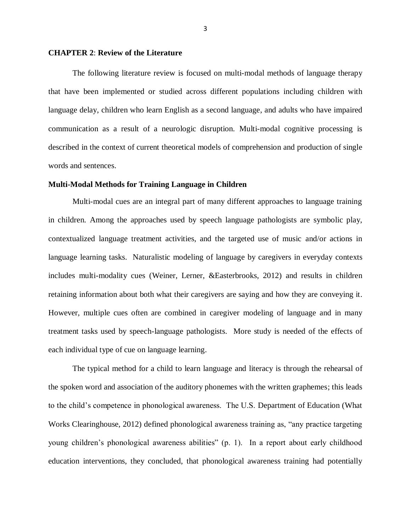#### **CHAPTER 2**: **Review of the Literature**

The following literature review is focused on multi-modal methods of language therapy that have been implemented or studied across different populations including children with language delay, children who learn English as a second language, and adults who have impaired communication as a result of a neurologic disruption. Multi-modal cognitive processing is described in the context of current theoretical models of comprehension and production of single words and sentences.

#### **Multi-Modal Methods for Training Language in Children**

Multi-modal cues are an integral part of many different approaches to language training in children. Among the approaches used by speech language pathologists are symbolic play, contextualized language treatment activities, and the targeted use of music and/or actions in language learning tasks. Naturalistic modeling of language by caregivers in everyday contexts includes multi-modality cues (Weiner, Lerner, &Easterbrooks, 2012) and results in children retaining information about both what their caregivers are saying and how they are conveying it. However, multiple cues often are combined in caregiver modeling of language and in many treatment tasks used by speech-language pathologists. More study is needed of the effects of each individual type of cue on language learning.

The typical method for a child to learn language and literacy is through the rehearsal of the spoken word and association of the auditory phonemes with the written graphemes; this leads to the child's competence in phonological awareness. The U.S. Department of Education (What Works Clearinghouse, 2012) defined phonological awareness training as, "any practice targeting young children's phonological awareness abilities" (p. 1). In a report about early childhood education interventions, they concluded, that phonological awareness training had potentially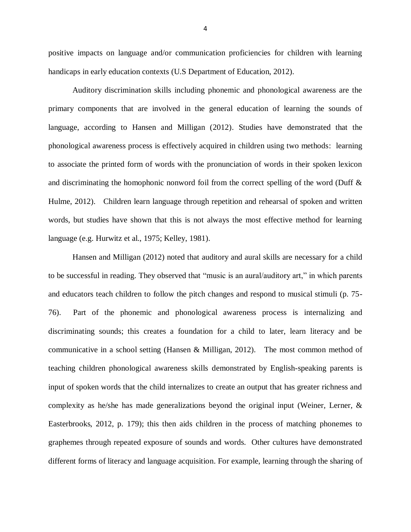positive impacts on language and/or communication proficiencies for children with learning handicaps in early education contexts (U.S Department of Education, 2012).

Auditory discrimination skills including phonemic and phonological awareness are the primary components that are involved in the general education of learning the sounds of language, according to Hansen and Milligan (2012). Studies have demonstrated that the phonological awareness process is effectively acquired in children using two methods: learning to associate the printed form of words with the pronunciation of words in their spoken lexicon and discriminating the homophonic nonword foil from the correct spelling of the word (Duff & Hulme, 2012). Children learn language through repetition and rehearsal of spoken and written words, but studies have shown that this is not always the most effective method for learning language (e.g. Hurwitz et al., 1975; Kelley, 1981).

Hansen and Milligan (2012) noted that auditory and aural skills are necessary for a child to be successful in reading. They observed that "music is an aural/auditory art," in which parents and educators teach children to follow the pitch changes and respond to musical stimuli (p. 75- 76). Part of the phonemic and phonological awareness process is internalizing and discriminating sounds; this creates a foundation for a child to later, learn literacy and be communicative in a school setting (Hansen & Milligan, 2012). The most common method of teaching children phonological awareness skills demonstrated by English-speaking parents is input of spoken words that the child internalizes to create an output that has greater richness and complexity as he/she has made generalizations beyond the original input (Weiner, Lerner, & Easterbrooks, 2012, p. 179); this then aids children in the process of matching phonemes to graphemes through repeated exposure of sounds and words. Other cultures have demonstrated different forms of literacy and language acquisition. For example, learning through the sharing of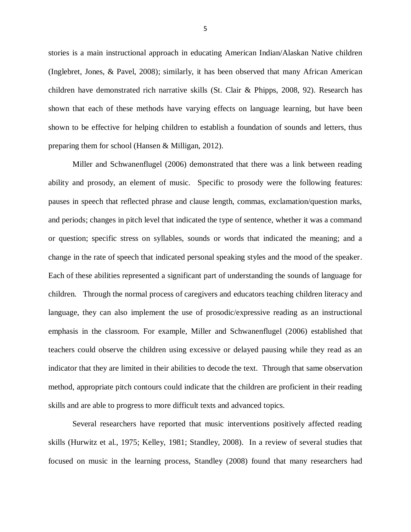stories is a main instructional approach in educating American Indian/Alaskan Native children (Inglebret, Jones, & Pavel, 2008); similarly, it has been observed that many African American children have demonstrated rich narrative skills (St. Clair & Phipps, 2008, 92). Research has shown that each of these methods have varying effects on language learning, but have been shown to be effective for helping children to establish a foundation of sounds and letters, thus preparing them for school (Hansen & Milligan, 2012).

Miller and Schwanenflugel (2006) demonstrated that there was a link between reading ability and prosody, an element of music. Specific to prosody were the following features: pauses in speech that reflected phrase and clause length, commas, exclamation/question marks, and periods; changes in pitch level that indicated the type of sentence, whether it was a command or question; specific stress on syllables, sounds or words that indicated the meaning; and a change in the rate of speech that indicated personal speaking styles and the mood of the speaker. Each of these abilities represented a significant part of understanding the sounds of language for children. Through the normal process of caregivers and educators teaching children literacy and language, they can also implement the use of prosodic/expressive reading as an instructional emphasis in the classroom. For example, Miller and Schwanenflugel (2006) established that teachers could observe the children using excessive or delayed pausing while they read as an indicator that they are limited in their abilities to decode the text. Through that same observation method, appropriate pitch contours could indicate that the children are proficient in their reading skills and are able to progress to more difficult texts and advanced topics.

Several researchers have reported that music interventions positively affected reading skills (Hurwitz et al., 1975; Kelley, 1981; Standley, 2008). In a review of several studies that focused on music in the learning process, Standley (2008) found that many researchers had

5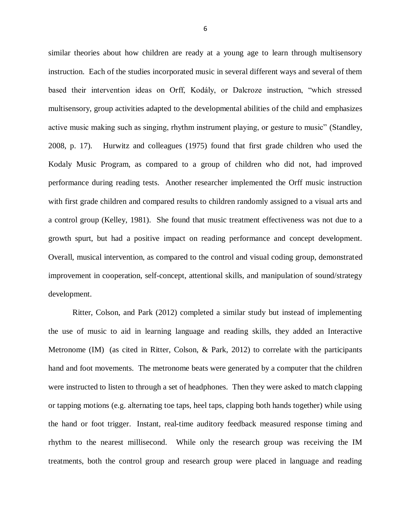similar theories about how children are ready at a young age to learn through multisensory instruction. Each of the studies incorporated music in several different ways and several of them based their intervention ideas on Orff, Kodály, or Dalcroze instruction, "which stressed multisensory, group activities adapted to the developmental abilities of the child and emphasizes active music making such as singing, rhythm instrument playing, or gesture to music" (Standley, 2008, p. 17). Hurwitz and colleagues (1975) found that first grade children who used the Kodaly Music Program, as compared to a group of children who did not, had improved performance during reading tests. Another researcher implemented the Orff music instruction with first grade children and compared results to children randomly assigned to a visual arts and a control group (Kelley, 1981). She found that music treatment effectiveness was not due to a growth spurt, but had a positive impact on reading performance and concept development. Overall, musical intervention, as compared to the control and visual coding group, demonstrated improvement in cooperation, self-concept, attentional skills, and manipulation of sound/strategy development.

Ritter, Colson, and Park (2012) completed a similar study but instead of implementing the use of music to aid in learning language and reading skills, they added an Interactive Metronome (IM) (as cited in Ritter, Colson, & Park, 2012) to correlate with the participants hand and foot movements. The metronome beats were generated by a computer that the children were instructed to listen to through a set of headphones. Then they were asked to match clapping or tapping motions (e.g. alternating toe taps, heel taps, clapping both hands together) while using the hand or foot trigger. Instant, real-time auditory feedback measured response timing and rhythm to the nearest millisecond. While only the research group was receiving the IM treatments, both the control group and research group were placed in language and reading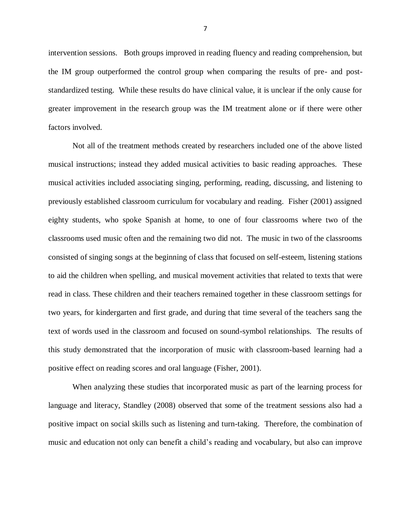intervention sessions. Both groups improved in reading fluency and reading comprehension, but the IM group outperformed the control group when comparing the results of pre- and poststandardized testing. While these results do have clinical value, it is unclear if the only cause for greater improvement in the research group was the IM treatment alone or if there were other factors involved.

Not all of the treatment methods created by researchers included one of the above listed musical instructions; instead they added musical activities to basic reading approaches. These musical activities included associating singing, performing, reading, discussing, and listening to previously established classroom curriculum for vocabulary and reading. Fisher (2001) assigned eighty students, who spoke Spanish at home, to one of four classrooms where two of the classrooms used music often and the remaining two did not. The music in two of the classrooms consisted of singing songs at the beginning of class that focused on self-esteem, listening stations to aid the children when spelling, and musical movement activities that related to texts that were read in class. These children and their teachers remained together in these classroom settings for two years, for kindergarten and first grade, and during that time several of the teachers sang the text of words used in the classroom and focused on sound-symbol relationships. The results of this study demonstrated that the incorporation of music with classroom-based learning had a positive effect on reading scores and oral language (Fisher, 2001).

When analyzing these studies that incorporated music as part of the learning process for language and literacy, Standley (2008) observed that some of the treatment sessions also had a positive impact on social skills such as listening and turn-taking. Therefore, the combination of music and education not only can benefit a child's reading and vocabulary, but also can improve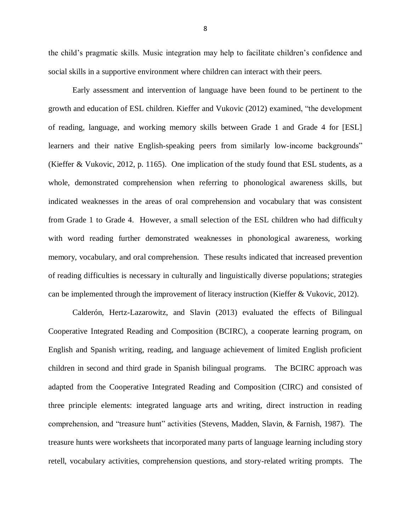the child's pragmatic skills. Music integration may help to facilitate children's confidence and social skills in a supportive environment where children can interact with their peers.

Early assessment and intervention of language have been found to be pertinent to the growth and education of ESL children. Kieffer and Vukovic (2012) examined, "the development of reading, language, and working memory skills between Grade 1 and Grade 4 for [ESL] learners and their native English-speaking peers from similarly low-income backgrounds" (Kieffer & Vukovic, 2012, p. 1165). One implication of the study found that ESL students, as a whole, demonstrated comprehension when referring to phonological awareness skills, but indicated weaknesses in the areas of oral comprehension and vocabulary that was consistent from Grade 1 to Grade 4. However, a small selection of the ESL children who had difficulty with word reading further demonstrated weaknesses in phonological awareness, working memory, vocabulary, and oral comprehension. These results indicated that increased prevention of reading difficulties is necessary in culturally and linguistically diverse populations; strategies can be implemented through the improvement of literacy instruction (Kieffer & Vukovic, 2012).

Calderón, Hertz-Lazarowitz, and Slavin (2013) evaluated the effects of Bilingual Cooperative Integrated Reading and Composition (BCIRC), a cooperate learning program, on English and Spanish writing, reading, and language achievement of limited English proficient children in second and third grade in Spanish bilingual programs. The BCIRC approach was adapted from the Cooperative Integrated Reading and Composition (CIRC) and consisted of three principle elements: integrated language arts and writing, direct instruction in reading comprehension, and "treasure hunt" activities (Stevens, Madden, Slavin, & Farnish, 1987). The treasure hunts were worksheets that incorporated many parts of language learning including story retell, vocabulary activities, comprehension questions, and story-related writing prompts. The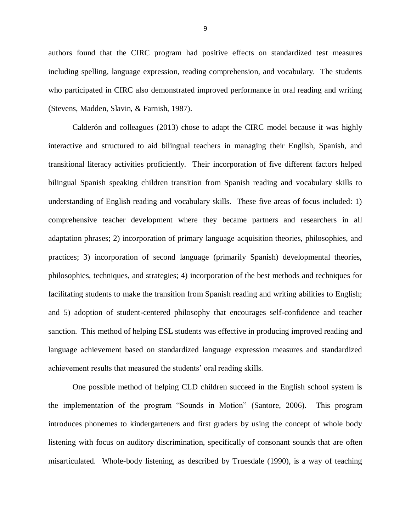authors found that the CIRC program had positive effects on standardized test measures including spelling, language expression, reading comprehension, and vocabulary. The students who participated in CIRC also demonstrated improved performance in oral reading and writing (Stevens, Madden, Slavin, & Farnish, 1987).

Calderón and colleagues (2013) chose to adapt the CIRC model because it was highly interactive and structured to aid bilingual teachers in managing their English, Spanish, and transitional literacy activities proficiently. Their incorporation of five different factors helped bilingual Spanish speaking children transition from Spanish reading and vocabulary skills to understanding of English reading and vocabulary skills. These five areas of focus included: 1) comprehensive teacher development where they became partners and researchers in all adaptation phrases; 2) incorporation of primary language acquisition theories, philosophies, and practices; 3) incorporation of second language (primarily Spanish) developmental theories, philosophies, techniques, and strategies; 4) incorporation of the best methods and techniques for facilitating students to make the transition from Spanish reading and writing abilities to English; and 5) adoption of student-centered philosophy that encourages self-confidence and teacher sanction. This method of helping ESL students was effective in producing improved reading and language achievement based on standardized language expression measures and standardized achievement results that measured the students' oral reading skills.

One possible method of helping CLD children succeed in the English school system is the implementation of the program "Sounds in Motion" (Santore, 2006). This program introduces phonemes to kindergarteners and first graders by using the concept of whole body listening with focus on auditory discrimination, specifically of consonant sounds that are often misarticulated. Whole-body listening, as described by Truesdale (1990), is a way of teaching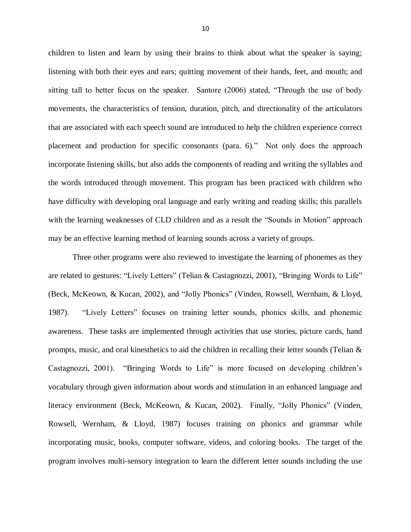children to listen and learn by using their brains to think about what the speaker is saying; listening with both their eyes and ears; quitting movement of their hands, feet, and mouth; and sitting tall to better focus on the speaker. Santore (2006) stated, "Through the use of body movements, the characteristics of tension, duration, pitch, and directionality of the articulators that are associated with each speech sound are introduced to help the children experience correct placement and production for specific consonants (para. 6)." Not only does the approach incorporate listening skills, but also adds the components of reading and writing the syllables and the words introduced through movement. This program has been practiced with children who have difficulty with developing oral language and early writing and reading skills; this parallels with the learning weaknesses of CLD children and as a result the "Sounds in Motion" approach may be an effective learning method of learning sounds across a variety of groups.

Three other programs were also reviewed to investigate the learning of phonemes as they are related to gestures: "Lively Letters" (Telian & Castagnozzi, 2001), "Bringing Words to Life" (Beck, McKeown, & Kucan, 2002), and "Jolly Phonics" (Vinden, Rowsell, Wernham, & Lloyd, 1987). "Lively Letters" focuses on training letter sounds, phonics skills, and phonemic awareness. These tasks are implemented through activities that use stories, picture cards, hand prompts, music, and oral kinesthetics to aid the children in recalling their letter sounds (Telian & Castagnozzi, 2001). "Bringing Words to Life" is more focused on developing children's vocabulary through given information about words and stimulation in an enhanced language and literacy environment (Beck, McKeown, & Kucan, 2002). Finally, "Jolly Phonics" (Vinden, Rowsell, Wernham, & Lloyd, 1987) focuses training on phonics and grammar while incorporating music, books, computer software, videos, and coloring books. The target of the program involves multi-sensory integration to learn the different letter sounds including the use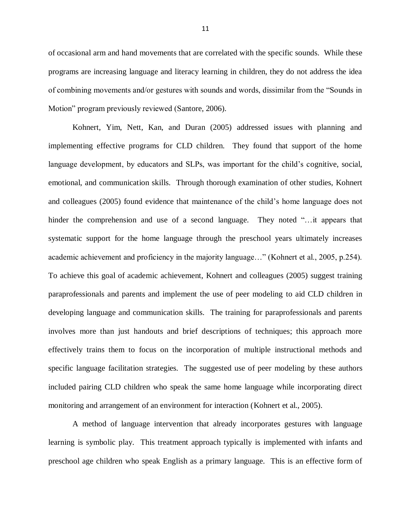of occasional arm and hand movements that are correlated with the specific sounds. While these programs are increasing language and literacy learning in children, they do not address the idea of combining movements and/or gestures with sounds and words, dissimilar from the "Sounds in Motion" program previously reviewed (Santore, 2006).

Kohnert, Yim, Nett, Kan, and Duran (2005) addressed issues with planning and implementing effective programs for CLD children. They found that support of the home language development, by educators and SLPs, was important for the child's cognitive, social, emotional, and communication skills. Through thorough examination of other studies, Kohnert and colleagues (2005) found evidence that maintenance of the child's home language does not hinder the comprehension and use of a second language. They noted "... it appears that systematic support for the home language through the preschool years ultimately increases academic achievement and proficiency in the majority language…" (Kohnert et al., 2005, p.254). To achieve this goal of academic achievement, Kohnert and colleagues (2005) suggest training paraprofessionals and parents and implement the use of peer modeling to aid CLD children in developing language and communication skills. The training for paraprofessionals and parents involves more than just handouts and brief descriptions of techniques; this approach more effectively trains them to focus on the incorporation of multiple instructional methods and specific language facilitation strategies. The suggested use of peer modeling by these authors included pairing CLD children who speak the same home language while incorporating direct monitoring and arrangement of an environment for interaction (Kohnert et al., 2005).

A method of language intervention that already incorporates gestures with language learning is symbolic play. This treatment approach typically is implemented with infants and preschool age children who speak English as a primary language. This is an effective form of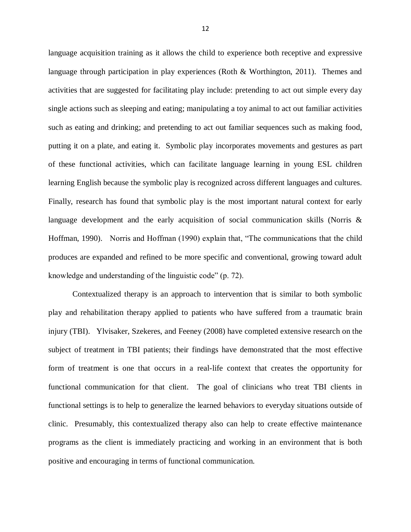language acquisition training as it allows the child to experience both receptive and expressive language through participation in play experiences (Roth & Worthington, 2011). Themes and activities that are suggested for facilitating play include: pretending to act out simple every day single actions such as sleeping and eating; manipulating a toy animal to act out familiar activities such as eating and drinking; and pretending to act out familiar sequences such as making food, putting it on a plate, and eating it. Symbolic play incorporates movements and gestures as part of these functional activities, which can facilitate language learning in young ESL children learning English because the symbolic play is recognized across different languages and cultures. Finally, research has found that symbolic play is the most important natural context for early language development and the early acquisition of social communication skills (Norris & Hoffman, 1990). Norris and Hoffman (1990) explain that, "The communications that the child produces are expanded and refined to be more specific and conventional, growing toward adult knowledge and understanding of the linguistic code" (p. 72).

Contextualized therapy is an approach to intervention that is similar to both symbolic play and rehabilitation therapy applied to patients who have suffered from a traumatic brain injury (TBI). Ylvisaker, Szekeres, and Feeney (2008) have completed extensive research on the subject of treatment in TBI patients; their findings have demonstrated that the most effective form of treatment is one that occurs in a real-life context that creates the opportunity for functional communication for that client. The goal of clinicians who treat TBI clients in functional settings is to help to generalize the learned behaviors to everyday situations outside of clinic. Presumably, this contextualized therapy also can help to create effective maintenance programs as the client is immediately practicing and working in an environment that is both positive and encouraging in terms of functional communication.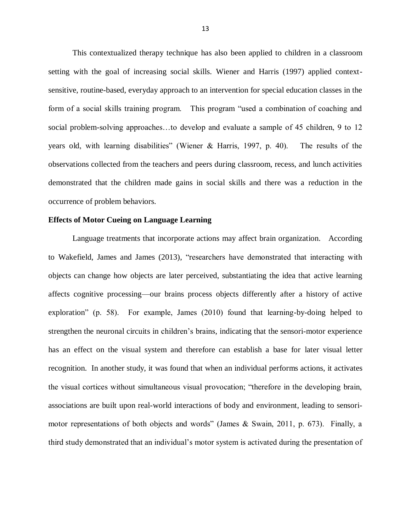This contextualized therapy technique has also been applied to children in a classroom setting with the goal of increasing social skills. Wiener and Harris (1997) applied contextsensitive, routine-based, everyday approach to an intervention for special education classes in the form of a social skills training program. This program "used a combination of coaching and social problem-solving approaches…to develop and evaluate a sample of 45 children, 9 to 12 years old, with learning disabilities" (Wiener & Harris, 1997, p. 40). The results of the observations collected from the teachers and peers during classroom, recess, and lunch activities demonstrated that the children made gains in social skills and there was a reduction in the occurrence of problem behaviors.

#### **Effects of Motor Cueing on Language Learning**

Language treatments that incorporate actions may affect brain organization. According to Wakefield, James and James (2013), "researchers have demonstrated that interacting with objects can change how objects are later perceived, substantiating the idea that active learning affects cognitive processing—our brains process objects differently after a history of active exploration" (p. 58). For example, James (2010) found that learning-by-doing helped to strengthen the neuronal circuits in children's brains, indicating that the sensori-motor experience has an effect on the visual system and therefore can establish a base for later visual letter recognition. In another study, it was found that when an individual performs actions, it activates the visual cortices without simultaneous visual provocation; "therefore in the developing brain, associations are built upon real-world interactions of body and environment, leading to sensorimotor representations of both objects and words" (James & Swain, 2011, p. 673). Finally, a third study demonstrated that an individual's motor system is activated during the presentation of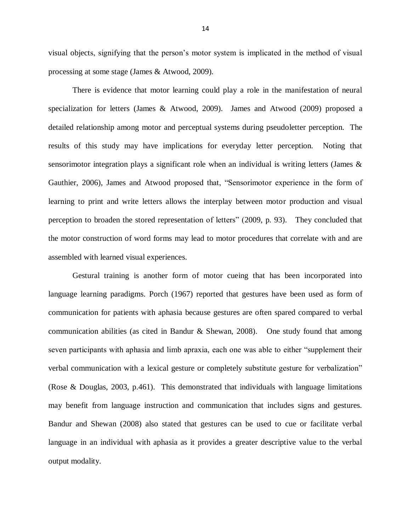visual objects, signifying that the person's motor system is implicated in the method of visual processing at some stage (James & Atwood, 2009).

There is evidence that motor learning could play a role in the manifestation of neural specialization for letters (James & Atwood, 2009). James and Atwood (2009) proposed a detailed relationship among motor and perceptual systems during pseudoletter perception. The results of this study may have implications for everyday letter perception. Noting that sensorimotor integration plays a significant role when an individual is writing letters (James & Gauthier, 2006), James and Atwood proposed that, "Sensorimotor experience in the form of learning to print and write letters allows the interplay between motor production and visual perception to broaden the stored representation of letters" (2009, p. 93). They concluded that the motor construction of word forms may lead to motor procedures that correlate with and are assembled with learned visual experiences.

Gestural training is another form of motor cueing that has been incorporated into language learning paradigms. Porch (1967) reported that gestures have been used as form of communication for patients with aphasia because gestures are often spared compared to verbal communication abilities (as cited in Bandur  $\&$  Shewan, 2008). One study found that among seven participants with aphasia and limb apraxia, each one was able to either "supplement their verbal communication with a lexical gesture or completely substitute gesture for verbalization" (Rose & Douglas, 2003, p.461). This demonstrated that individuals with language limitations may benefit from language instruction and communication that includes signs and gestures. Bandur and Shewan (2008) also stated that gestures can be used to cue or facilitate verbal language in an individual with aphasia as it provides a greater descriptive value to the verbal output modality.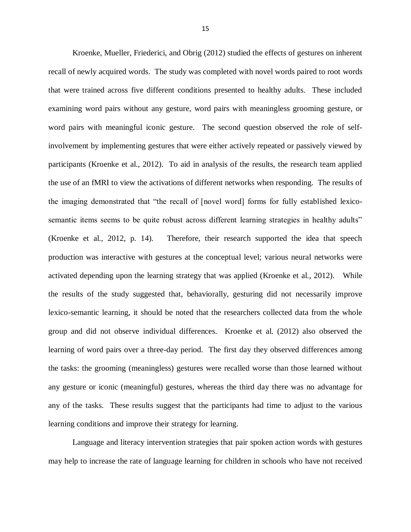Kroenke, Mueller, Friederici, and Obrig (2012) studied the effects of gestures on inherent recall of newly acquired words. The study was completed with novel words paired to root words that were trained across five different conditions presented to healthy adults. These included examining word pairs without any gesture, word pairs with meaningless grooming gesture, or word pairs with meaningful iconic gesture. The second question observed the role of selfinvolvement by implementing gestures that were either actively repeated or passively viewed by participants (Kroenke et al., 2012). To aid in analysis of the results, the research team applied the use of an fMRI to view the activations of different networks when responding. The results of the imaging demonstrated that "the recall of [novel word] forms for fully established lexicosemantic items seems to be quite robust across different learning strategies in healthy adults" (Kroenke et al., 2012, p. 14). Therefore, their research supported the idea that speech production was interactive with gestures at the conceptual level; various neural networks were activated depending upon the learning strategy that was applied (Kroenke et al., 2012). While the results of the study suggested that, behaviorally, gesturing did not necessarily improve lexico-semantic learning, it should be noted that the researchers collected data from the whole group and did not observe individual differences. Kroenke et al. (2012) also observed the learning of word pairs over a three-day period. The first day they observed differences among the tasks: the grooming (meaningless) gestures were recalled worse than those learned without any gesture or iconic (meaningful) gestures, whereas the third day there was no advantage for any of the tasks. These results suggest that the participants had time to adjust to the various learning conditions and improve their strategy for learning.

Language and literacy intervention strategies that pair spoken action words with gestures may help to increase the rate of language learning for children in schools who have not received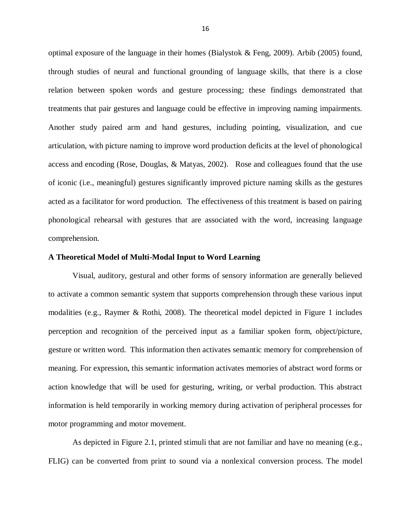optimal exposure of the language in their homes (Bialystok & Feng, 2009). Arbib (2005) found, through studies of neural and functional grounding of language skills, that there is a close relation between spoken words and gesture processing; these findings demonstrated that treatments that pair gestures and language could be effective in improving naming impairments. Another study paired arm and hand gestures, including pointing, visualization, and cue articulation, with picture naming to improve word production deficits at the level of phonological access and encoding (Rose, Douglas, & Matyas, 2002). Rose and colleagues found that the use of iconic (i.e., meaningful) gestures significantly improved picture naming skills as the gestures acted as a facilitator for word production. The effectiveness of this treatment is based on pairing phonological rehearsal with gestures that are associated with the word, increasing language comprehension.

#### **A Theoretical Model of Multi-Modal Input to Word Learning**

Visual, auditory, gestural and other forms of sensory information are generally believed to activate a common semantic system that supports comprehension through these various input modalities (e.g., Raymer & Rothi, 2008). The theoretical model depicted in Figure 1 includes perception and recognition of the perceived input as a familiar spoken form, object/picture, gesture or written word. This information then activates semantic memory for comprehension of meaning. For expression, this semantic information activates memories of abstract word forms or action knowledge that will be used for gesturing, writing, or verbal production. This abstract information is held temporarily in working memory during activation of peripheral processes for motor programming and motor movement.

As depicted in Figure 2.1, printed stimuli that are not familiar and have no meaning (e.g., FLIG) can be converted from print to sound via a nonlexical conversion process. The model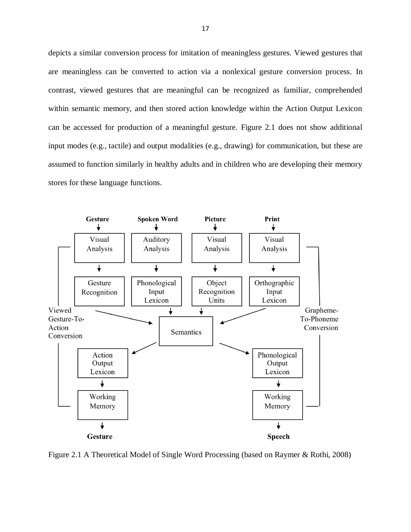depicts a similar conversion process for imitation of meaningless gestures. Viewed gestures that are meaningless can be converted to action via a nonlexical gesture conversion process. In contrast, viewed gestures that are meaningful can be recognized as familiar, comprehended within semantic memory, and then stored action knowledge within the Action Output Lexicon can be accessed for production of a meaningful gesture. Figure 2.1 does not show additional input modes (e.g., tactile) and output modalities (e.g., drawing) for communication, but these are assumed to function similarly in healthy adults and in children who are developing their memory stores for these language functions.



Figure 2.1 A Theoretical Model of Single Word Processing (based on Raymer & Rothi, 2008)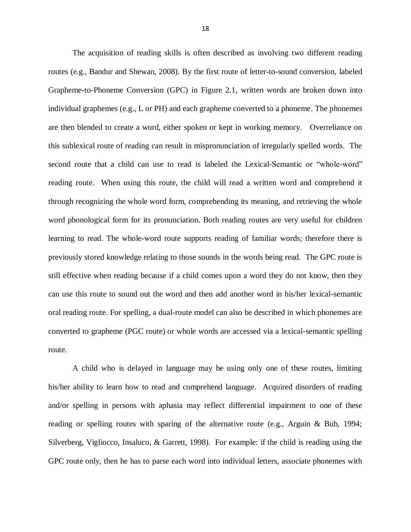The acquisition of reading skills is often described as involving two different reading routes (e.g., Bandur and Shewan, 2008). By the first route of letter-to-sound conversion, labeled Grapheme-to-Phoneme Conversion (GPC) in Figure 2.1, written words are broken down into individual graphemes (e.g., L or PH) and each grapheme converted to a phoneme. The phonemes are then blended to create a word, either spoken or kept in working memory. Overreliance on this sublexical route of reading can result in mispronunciation of irregularly spelled words. The second route that a child can use to read is labeled the Lexical-Semantic or "whole-word" reading route. When using this route, the child will read a written word and comprehend it through recognizing the whole word form, comprehending its meaning, and retrieving the whole word phonological form for its pronunciation. Both reading routes are very useful for children learning to read. The whole-word route supports reading of familiar words; therefore there is previously stored knowledge relating to those sounds in the words being read. The GPC route is still effective when reading because if a child comes upon a word they do not know, then they can use this route to sound out the word and then add another word in his/her lexical-semantic oral reading route. For spelling, a dual-route model can also be described in which phonemes are converted to grapheme (PGC route) or whole words are accessed via a lexical-semantic spelling route.

A child who is delayed in language may be using only one of these routes, limiting his/her ability to learn how to read and comprehend language. Acquired disorders of reading and/or spelling in persons with aphasia may reflect differential impairment to one of these reading or spelling routes with sparing of the alternative route (e.g., Arguin & Bub, 1994; Silverberg, Vigliocco, Insaluco, & Garrett, 1998). For example: if the child is reading using the GPC route only, then he has to parse each word into individual letters, associate phonemes with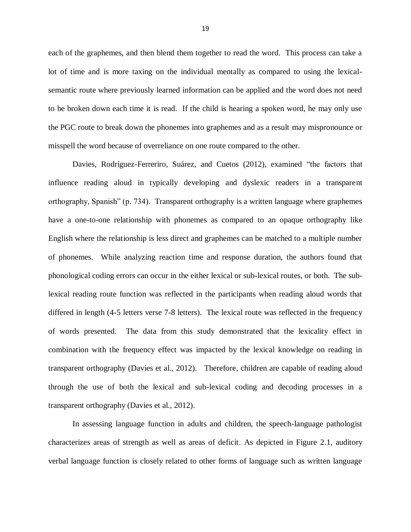each of the graphemes, and then blend them together to read the word. This process can take a lot of time and is more taxing on the individual mentally as compared to using the lexicalsemantic route where previously learned information can be applied and the word does not need to be broken down each time it is read. If the child is hearing a spoken word, he may only use the PGC route to break down the phonemes into graphemes and as a result may mispronounce or misspell the word because of overreliance on one route compared to the other.

Davies, Rodríguez-Ferreriro, Suárez, and Cuetos (2012), examined "the factors that influence reading aloud in typically developing and dyslexic readers in a transparent orthography, Spanish" (p. 734). Transparent orthography is a written language where graphemes have a one-to-one relationship with phonemes as compared to an opaque orthography like English where the relationship is less direct and graphemes can be matched to a multiple number of phonemes. While analyzing reaction time and response duration, the authors found that phonological coding errors can occur in the either lexical or sub-lexical routes, or both. The sublexical reading route function was reflected in the participants when reading aloud words that differed in length (4-5 letters verse 7-8 letters). The lexical route was reflected in the frequency of words presented. The data from this study demonstrated that the lexicality effect in combination with the frequency effect was impacted by the lexical knowledge on reading in transparent orthography (Davies et al., 2012). Therefore, children are capable of reading aloud through the use of both the lexical and sub-lexical coding and decoding processes in a transparent orthography (Davies et al., 2012).

In assessing language function in adults and children, the speech-language pathologist characterizes areas of strength as well as areas of deficit. As depicted in Figure 2.1, auditory verbal language function is closely related to other forms of language such as written language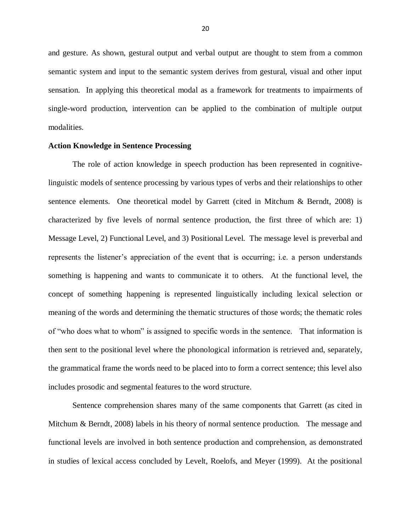and gesture. As shown, gestural output and verbal output are thought to stem from a common semantic system and input to the semantic system derives from gestural, visual and other input sensation. In applying this theoretical modal as a framework for treatments to impairments of single-word production, intervention can be applied to the combination of multiple output modalities.

#### **Action Knowledge in Sentence Processing**

The role of action knowledge in speech production has been represented in cognitivelinguistic models of sentence processing by various types of verbs and their relationships to other sentence elements. One theoretical model by Garrett (cited in Mitchum & Berndt, 2008) is characterized by five levels of normal sentence production, the first three of which are: 1) Message Level, 2) Functional Level, and 3) Positional Level. The message level is preverbal and represents the listener's appreciation of the event that is occurring; i.e. a person understands something is happening and wants to communicate it to others. At the functional level, the concept of something happening is represented linguistically including lexical selection or meaning of the words and determining the thematic structures of those words; the thematic roles of "who does what to whom" is assigned to specific words in the sentence. That information is then sent to the positional level where the phonological information is retrieved and, separately, the grammatical frame the words need to be placed into to form a correct sentence; this level also includes prosodic and segmental features to the word structure.

Sentence comprehension shares many of the same components that Garrett (as cited in Mitchum & Berndt, 2008) labels in his theory of normal sentence production. The message and functional levels are involved in both sentence production and comprehension, as demonstrated in studies of lexical access concluded by Levelt, Roelofs, and Meyer (1999). At the positional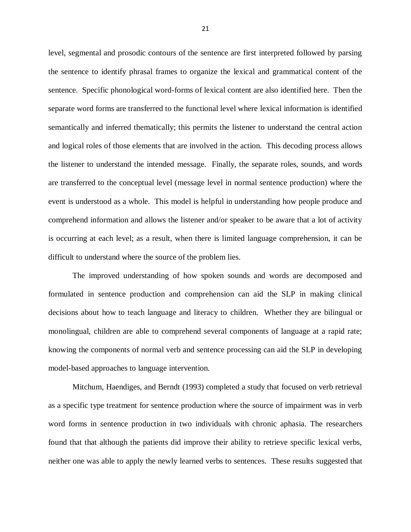level, segmental and prosodic contours of the sentence are first interpreted followed by parsing the sentence to identify phrasal frames to organize the lexical and grammatical content of the sentence. Specific phonological word-forms of lexical content are also identified here. Then the separate word forms are transferred to the functional level where lexical information is identified semantically and inferred thematically; this permits the listener to understand the central action and logical roles of those elements that are involved in the action. This decoding process allows the listener to understand the intended message. Finally, the separate roles, sounds, and words are transferred to the conceptual level (message level in normal sentence production) where the event is understood as a whole. This model is helpful in understanding how people produce and comprehend information and allows the listener and/or speaker to be aware that a lot of activity is occurring at each level; as a result, when there is limited language comprehension, it can be difficult to understand where the source of the problem lies.

The improved understanding of how spoken sounds and words are decomposed and formulated in sentence production and comprehension can aid the SLP in making clinical decisions about how to teach language and literacy to children. Whether they are bilingual or monolingual, children are able to comprehend several components of language at a rapid rate; knowing the components of normal verb and sentence processing can aid the SLP in developing model-based approaches to language intervention.

Mitchum, Haendiges, and Berndt (1993) completed a study that focused on verb retrieval as a specific type treatment for sentence production where the source of impairment was in verb word forms in sentence production in two individuals with chronic aphasia. The researchers found that that although the patients did improve their ability to retrieve specific lexical verbs, neither one was able to apply the newly learned verbs to sentences. These results suggested that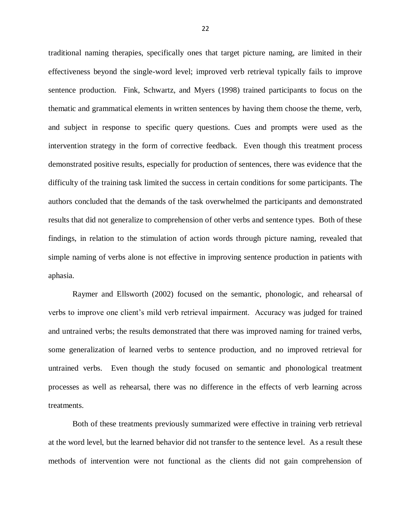traditional naming therapies, specifically ones that target picture naming, are limited in their effectiveness beyond the single-word level; improved verb retrieval typically fails to improve sentence production. Fink, Schwartz, and Myers (1998) trained participants to focus on the thematic and grammatical elements in written sentences by having them choose the theme, verb, and subject in response to specific query questions. Cues and prompts were used as the intervention strategy in the form of corrective feedback. Even though this treatment process demonstrated positive results, especially for production of sentences, there was evidence that the difficulty of the training task limited the success in certain conditions for some participants. The authors concluded that the demands of the task overwhelmed the participants and demonstrated results that did not generalize to comprehension of other verbs and sentence types. Both of these findings, in relation to the stimulation of action words through picture naming, revealed that simple naming of verbs alone is not effective in improving sentence production in patients with aphasia.

Raymer and Ellsworth (2002) focused on the semantic, phonologic, and rehearsal of verbs to improve one client's mild verb retrieval impairment. Accuracy was judged for trained and untrained verbs; the results demonstrated that there was improved naming for trained verbs, some generalization of learned verbs to sentence production, and no improved retrieval for untrained verbs. Even though the study focused on semantic and phonological treatment processes as well as rehearsal, there was no difference in the effects of verb learning across treatments.

Both of these treatments previously summarized were effective in training verb retrieval at the word level, but the learned behavior did not transfer to the sentence level. As a result these methods of intervention were not functional as the clients did not gain comprehension of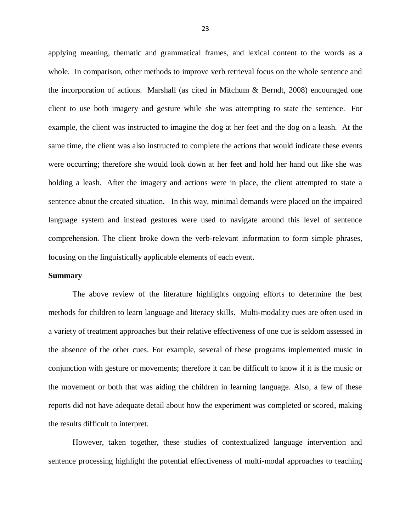applying meaning, thematic and grammatical frames, and lexical content to the words as a whole. In comparison, other methods to improve verb retrieval focus on the whole sentence and the incorporation of actions. Marshall (as cited in Mitchum & Berndt, 2008) encouraged one client to use both imagery and gesture while she was attempting to state the sentence. For example, the client was instructed to imagine the dog at her feet and the dog on a leash. At the same time, the client was also instructed to complete the actions that would indicate these events were occurring; therefore she would look down at her feet and hold her hand out like she was holding a leash. After the imagery and actions were in place, the client attempted to state a sentence about the created situation. In this way, minimal demands were placed on the impaired language system and instead gestures were used to navigate around this level of sentence comprehension. The client broke down the verb-relevant information to form simple phrases, focusing on the linguistically applicable elements of each event.

#### **Summary**

The above review of the literature highlights ongoing efforts to determine the best methods for children to learn language and literacy skills. Multi-modality cues are often used in a variety of treatment approaches but their relative effectiveness of one cue is seldom assessed in the absence of the other cues. For example, several of these programs implemented music in conjunction with gesture or movements; therefore it can be difficult to know if it is the music or the movement or both that was aiding the children in learning language. Also, a few of these reports did not have adequate detail about how the experiment was completed or scored, making the results difficult to interpret.

However, taken together, these studies of contextualized language intervention and sentence processing highlight the potential effectiveness of multi-modal approaches to teaching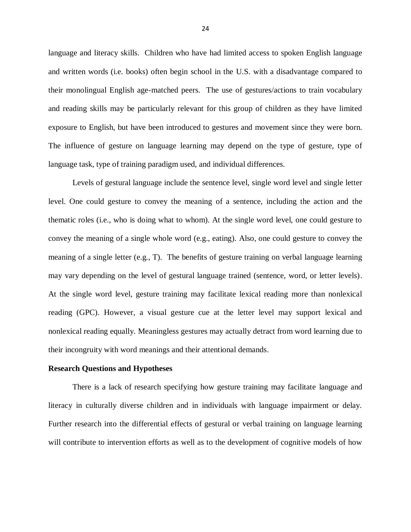language and literacy skills. Children who have had limited access to spoken English language and written words (i.e. books) often begin school in the U.S. with a disadvantage compared to their monolingual English age-matched peers. The use of gestures/actions to train vocabulary and reading skills may be particularly relevant for this group of children as they have limited exposure to English, but have been introduced to gestures and movement since they were born. The influence of gesture on language learning may depend on the type of gesture, type of language task, type of training paradigm used, and individual differences.

Levels of gestural language include the sentence level, single word level and single letter level. One could gesture to convey the meaning of a sentence, including the action and the thematic roles (i.e., who is doing what to whom). At the single word level, one could gesture to convey the meaning of a single whole word (e.g., eating). Also, one could gesture to convey the meaning of a single letter  $(e.g., T)$ . The benefits of gesture training on verbal language learning may vary depending on the level of gestural language trained (sentence, word, or letter levels). At the single word level, gesture training may facilitate lexical reading more than nonlexical reading (GPC). However, a visual gesture cue at the letter level may support lexical and nonlexical reading equally. Meaningless gestures may actually detract from word learning due to their incongruity with word meanings and their attentional demands.

#### **Research Questions and Hypotheses**

There is a lack of research specifying how gesture training may facilitate language and literacy in culturally diverse children and in individuals with language impairment or delay. Further research into the differential effects of gestural or verbal training on language learning will contribute to intervention efforts as well as to the development of cognitive models of how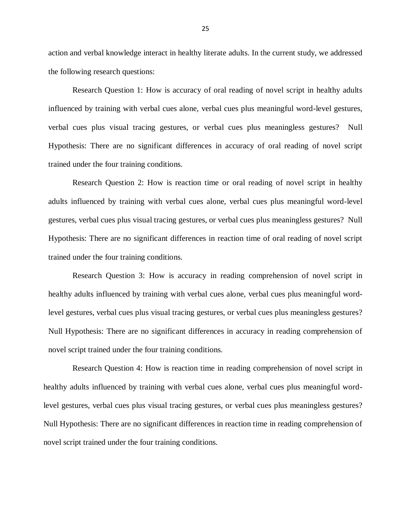action and verbal knowledge interact in healthy literate adults. In the current study, we addressed the following research questions:

Research Question 1: How is accuracy of oral reading of novel script in healthy adults influenced by training with verbal cues alone, verbal cues plus meaningful word-level gestures, verbal cues plus visual tracing gestures, or verbal cues plus meaningless gestures? Null Hypothesis: There are no significant differences in accuracy of oral reading of novel script trained under the four training conditions.

Research Question 2: How is reaction time or oral reading of novel script in healthy adults influenced by training with verbal cues alone, verbal cues plus meaningful word-level gestures, verbal cues plus visual tracing gestures, or verbal cues plus meaningless gestures? Null Hypothesis: There are no significant differences in reaction time of oral reading of novel script trained under the four training conditions.

Research Question 3: How is accuracy in reading comprehension of novel script in healthy adults influenced by training with verbal cues alone, verbal cues plus meaningful wordlevel gestures, verbal cues plus visual tracing gestures, or verbal cues plus meaningless gestures? Null Hypothesis: There are no significant differences in accuracy in reading comprehension of novel script trained under the four training conditions.

Research Question 4: How is reaction time in reading comprehension of novel script in healthy adults influenced by training with verbal cues alone, verbal cues plus meaningful wordlevel gestures, verbal cues plus visual tracing gestures, or verbal cues plus meaningless gestures? Null Hypothesis: There are no significant differences in reaction time in reading comprehension of novel script trained under the four training conditions.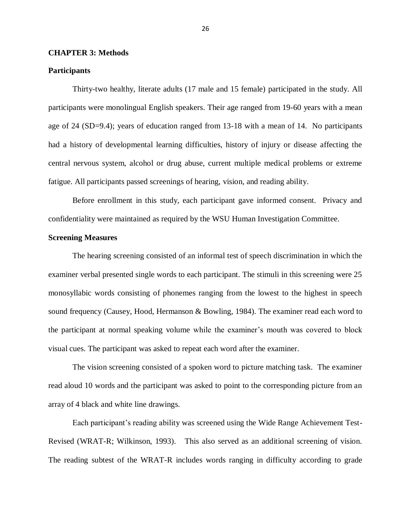## **CHAPTER 3: Methods**

#### **Participants**

Thirty-two healthy, literate adults (17 male and 15 female) participated in the study. All participants were monolingual English speakers. Their age ranged from 19-60 years with a mean age of 24 (SD=9.4); years of education ranged from 13-18 with a mean of 14. No participants had a history of developmental learning difficulties, history of injury or disease affecting the central nervous system, alcohol or drug abuse, current multiple medical problems or extreme fatigue. All participants passed screenings of hearing, vision, and reading ability.

Before enrollment in this study, each participant gave informed consent. Privacy and confidentiality were maintained as required by the WSU Human Investigation Committee.

#### **Screening Measures**

The hearing screening consisted of an informal test of speech discrimination in which the examiner verbal presented single words to each participant. The stimuli in this screening were 25 monosyllabic words consisting of phonemes ranging from the lowest to the highest in speech sound frequency (Causey, Hood, Hermanson & Bowling, 1984). The examiner read each word to the participant at normal speaking volume while the examiner's mouth was covered to block visual cues. The participant was asked to repeat each word after the examiner.

The vision screening consisted of a spoken word to picture matching task. The examiner read aloud 10 words and the participant was asked to point to the corresponding picture from an array of 4 black and white line drawings.

Each participant's reading ability was screened using the Wide Range Achievement Test-Revised (WRAT-R; Wilkinson, 1993). This also served as an additional screening of vision. The reading subtest of the WRAT-R includes words ranging in difficulty according to grade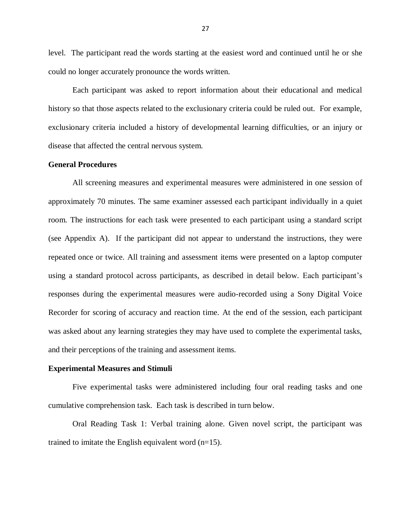level. The participant read the words starting at the easiest word and continued until he or she could no longer accurately pronounce the words written.

Each participant was asked to report information about their educational and medical history so that those aspects related to the exclusionary criteria could be ruled out. For example, exclusionary criteria included a history of developmental learning difficulties, or an injury or disease that affected the central nervous system.

## **General Procedures**

All screening measures and experimental measures were administered in one session of approximately 70 minutes. The same examiner assessed each participant individually in a quiet room. The instructions for each task were presented to each participant using a standard script (see Appendix A). If the participant did not appear to understand the instructions, they were repeated once or twice. All training and assessment items were presented on a laptop computer using a standard protocol across participants, as described in detail below. Each participant's responses during the experimental measures were audio-recorded using a Sony Digital Voice Recorder for scoring of accuracy and reaction time. At the end of the session, each participant was asked about any learning strategies they may have used to complete the experimental tasks, and their perceptions of the training and assessment items.

#### **Experimental Measures and Stimuli**

Five experimental tasks were administered including four oral reading tasks and one cumulative comprehension task. Each task is described in turn below.

Oral Reading Task 1: Verbal training alone. Given novel script, the participant was trained to imitate the English equivalent word (n=15).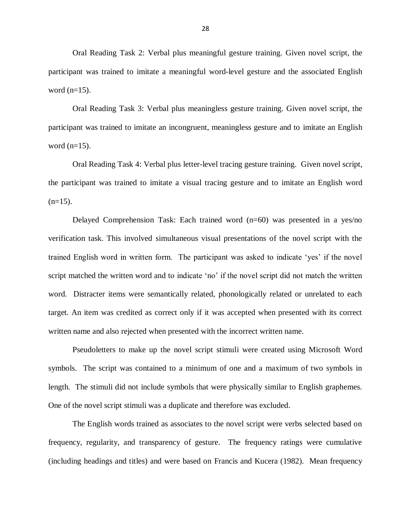Oral Reading Task 2: Verbal plus meaningful gesture training. Given novel script, the participant was trained to imitate a meaningful word-level gesture and the associated English word  $(n=15)$ .

Oral Reading Task 3: Verbal plus meaningless gesture training. Given novel script, the participant was trained to imitate an incongruent, meaningless gesture and to imitate an English word  $(n=15)$ .

Oral Reading Task 4: Verbal plus letter-level tracing gesture training. Given novel script, the participant was trained to imitate a visual tracing gesture and to imitate an English word  $(n=15)$ .

Delayed Comprehension Task: Each trained word (n=60) was presented in a yes/no verification task. This involved simultaneous visual presentations of the novel script with the trained English word in written form. The participant was asked to indicate 'yes' if the novel script matched the written word and to indicate 'no' if the novel script did not match the written word. Distracter items were semantically related, phonologically related or unrelated to each target. An item was credited as correct only if it was accepted when presented with its correct written name and also rejected when presented with the incorrect written name.

Pseudoletters to make up the novel script stimuli were created using Microsoft Word symbols. The script was contained to a minimum of one and a maximum of two symbols in length. The stimuli did not include symbols that were physically similar to English graphemes. One of the novel script stimuli was a duplicate and therefore was excluded.

The English words trained as associates to the novel script were verbs selected based on frequency, regularity, and transparency of gesture. The frequency ratings were cumulative (including headings and titles) and were based on Francis and Kucera (1982). Mean frequency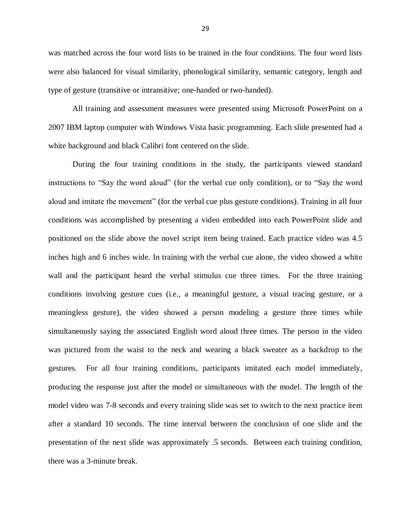was matched across the four word lists to be trained in the four conditions. The four word lists were also balanced for visual similarity, phonological similarity, semantic category, length and type of gesture (transitive or intransitive; one-handed or two-handed).

All training and assessment measures were presented using Microsoft PowerPoint on a 2007 IBM laptop computer with Windows Vista basic programming. Each slide presented had a white background and black Calibri font centered on the slide.

During the four training conditions in the study, the participants viewed standard instructions to "Say the word aloud" (for the verbal cue only condition), or to "Say the word aloud and imitate the movement" (for the verbal cue plus gesture conditions). Training in all four conditions was accomplished by presenting a video embedded into each PowerPoint slide and positioned on the slide above the novel script item being trained. Each practice video was 4.5 inches high and 6 inches wide. In training with the verbal cue alone, the video showed a white wall and the participant heard the verbal stimulus cue three times. For the three training conditions involving gesture cues (i.e., a meaningful gesture, a visual tracing gesture, or a meaningless gesture), the video showed a person modeling a gesture three times while simultaneously saying the associated English word aloud three times. The person in the video was pictured from the waist to the neck and wearing a black sweater as a backdrop to the gestures. For all four training conditions, participants imitated each model immediately, producing the response just after the model or simultaneous with the model. The length of the model video was 7-8 seconds and every training slide was set to switch to the next practice item after a standard 10 seconds. The time interval between the conclusion of one slide and the presentation of the next slide was approximately .5 seconds. Between each training condition, there was a 3-minute break.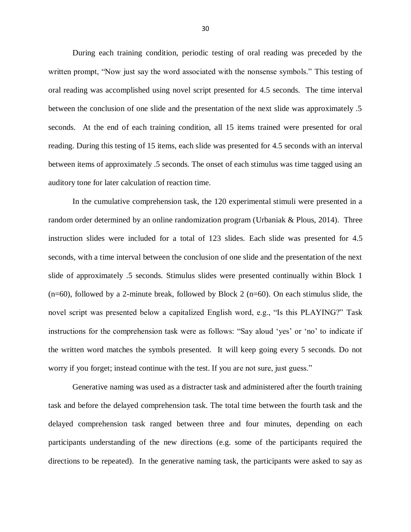During each training condition, periodic testing of oral reading was preceded by the written prompt, "Now just say the word associated with the nonsense symbols." This testing of oral reading was accomplished using novel script presented for 4.5 seconds. The time interval between the conclusion of one slide and the presentation of the next slide was approximately .5 seconds. At the end of each training condition, all 15 items trained were presented for oral reading. During this testing of 15 items, each slide was presented for 4.5 seconds with an interval between items of approximately .5 seconds. The onset of each stimulus was time tagged using an auditory tone for later calculation of reaction time.

In the cumulative comprehension task, the 120 experimental stimuli were presented in a random order determined by an online randomization program (Urbaniak & Plous, 2014). Three instruction slides were included for a total of 123 slides. Each slide was presented for 4.5 seconds, with a time interval between the conclusion of one slide and the presentation of the next slide of approximately .5 seconds. Stimulus slides were presented continually within Block 1  $(n=60)$ , followed by a 2-minute break, followed by Block 2  $(n=60)$ . On each stimulus slide, the novel script was presented below a capitalized English word, e.g., "Is this PLAYING?" Task instructions for the comprehension task were as follows: "Say aloud 'yes' or 'no' to indicate if the written word matches the symbols presented. It will keep going every 5 seconds. Do not worry if you forget; instead continue with the test. If you are not sure, just guess."

Generative naming was used as a distracter task and administered after the fourth training task and before the delayed comprehension task. The total time between the fourth task and the delayed comprehension task ranged between three and four minutes, depending on each participants understanding of the new directions (e.g. some of the participants required the directions to be repeated). In the generative naming task, the participants were asked to say as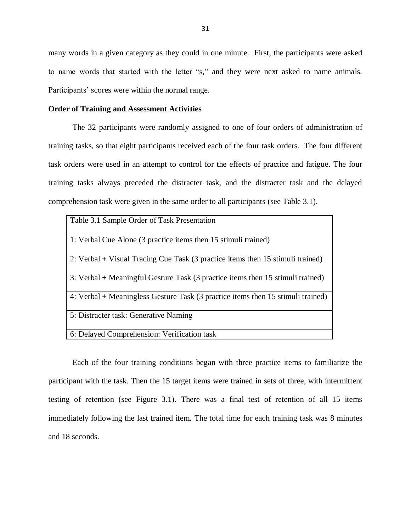many words in a given category as they could in one minute. First, the participants were asked to name words that started with the letter "s," and they were next asked to name animals. Participants' scores were within the normal range.

#### **Order of Training and Assessment Activities**

The 32 participants were randomly assigned to one of four orders of administration of training tasks, so that eight participants received each of the four task orders. The four different task orders were used in an attempt to control for the effects of practice and fatigue. The four training tasks always preceded the distracter task, and the distracter task and the delayed comprehension task were given in the same order to all participants (see Table 3.1).

| Table 3.1 Sample Order of Task Presentation                                     |
|---------------------------------------------------------------------------------|
| 1: Verbal Cue Alone (3 practice items then 15 stimuli trained)                  |
| 2: Verbal + Visual Tracing Cue Task (3 practice items then 15 stimuli trained)  |
| 3: Verbal + Meaningful Gesture Task (3 practice items then 15 stimuli trained)  |
| 4: Verbal + Meaningless Gesture Task (3 practice items then 15 stimuli trained) |
| 5: Distracter task: Generative Naming                                           |
| 6: Delayed Comprehension: Verification task                                     |

Each of the four training conditions began with three practice items to familiarize the participant with the task. Then the 15 target items were trained in sets of three, with intermittent testing of retention (see Figure 3.1). There was a final test of retention of all 15 items immediately following the last trained item. The total time for each training task was 8 minutes and 18 seconds.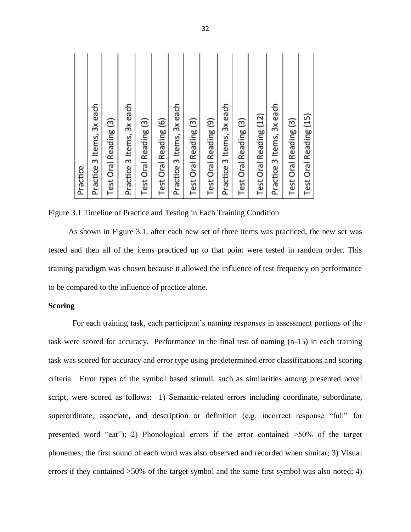| Practice                        |
|---------------------------------|
| Practice 3 Items, 3x each       |
| Test Oral Reading (3)           |
| Practice 3 Items, 3x each       |
| Test Oral Reading (3)           |
| Test Oral Reading (6)           |
| Practice 3 Items, 3x each       |
| Test Oral Reading (3)           |
| Test Oral Reading (9)           |
| each<br>δX<br>Practice 3 Items, |
| Test Oral Reading (3)           |
| Test Oral Reading (12)          |
| Practice 3 Items, 3x each       |
| Test Oral Reading (3)           |
| Test Oral Reading (15)          |

Figure 3.1 Timeline of Practice and Testing in Each Training Condition

As shown in Figure 3.1, after each new set of three items was practiced, the new set was tested and then all of the items practiced up to that point were tested in random order. This training paradigm was chosen because it allowed the influence of test frequency on performance to be compared to the influence of practice alone.

## **Scoring**

For each training task, each participant's naming responses in assessment portions of the task were scored for accuracy. Performance in the final test of naming (n-15) in each training task was scored for accuracy and error type using predetermined error classifications and scoring criteria. Error types of the symbol based stimuli, such as similarities among presented novel script, were scored as follows: 1) Semantic-related errors including coordinate, subordinate, superordinate, associate, and description or definition (e.g. incorrect response "full" for presented word "eat"); 2) Phonological errors if the error contained  $>50\%$  of the target phonemes; the first sound of each word was also observed and recorded when similar; 3) Visual errors if they contained >50% of the target symbol and the same first symbol was also noted; 4)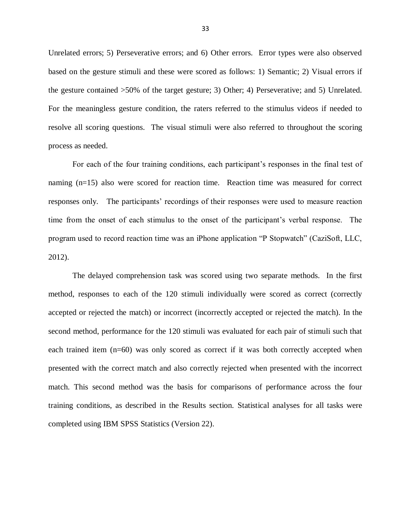Unrelated errors; 5) Perseverative errors; and 6) Other errors. Error types were also observed based on the gesture stimuli and these were scored as follows: 1) Semantic; 2) Visual errors if the gesture contained >50% of the target gesture; 3) Other; 4) Perseverative; and 5) Unrelated. For the meaningless gesture condition, the raters referred to the stimulus videos if needed to resolve all scoring questions. The visual stimuli were also referred to throughout the scoring process as needed.

For each of the four training conditions, each participant's responses in the final test of naming (n=15) also were scored for reaction time. Reaction time was measured for correct responses only. The participants' recordings of their responses were used to measure reaction time from the onset of each stimulus to the onset of the participant's verbal response. The program used to record reaction time was an iPhone application "P Stopwatch" (CaziSoft, LLC, 2012).

The delayed comprehension task was scored using two separate methods. In the first method, responses to each of the 120 stimuli individually were scored as correct (correctly accepted or rejected the match) or incorrect (incorrectly accepted or rejected the match). In the second method, performance for the 120 stimuli was evaluated for each pair of stimuli such that each trained item (n=60) was only scored as correct if it was both correctly accepted when presented with the correct match and also correctly rejected when presented with the incorrect match. This second method was the basis for comparisons of performance across the four training conditions, as described in the Results section. Statistical analyses for all tasks were completed using IBM SPSS Statistics (Version 22).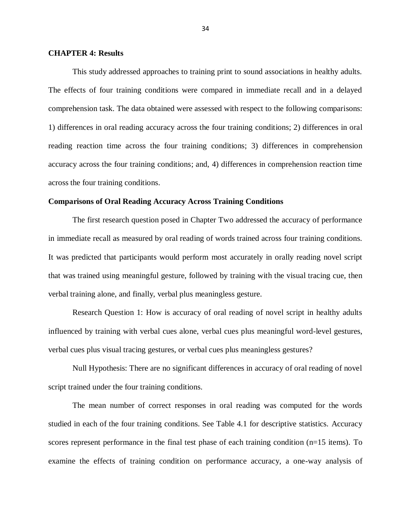#### **CHAPTER 4: Results**

This study addressed approaches to training print to sound associations in healthy adults. The effects of four training conditions were compared in immediate recall and in a delayed comprehension task. The data obtained were assessed with respect to the following comparisons: 1) differences in oral reading accuracy across the four training conditions; 2) differences in oral reading reaction time across the four training conditions; 3) differences in comprehension accuracy across the four training conditions; and, 4) differences in comprehension reaction time across the four training conditions.

#### **Comparisons of Oral Reading Accuracy Across Training Conditions**

The first research question posed in Chapter Two addressed the accuracy of performance in immediate recall as measured by oral reading of words trained across four training conditions. It was predicted that participants would perform most accurately in orally reading novel script that was trained using meaningful gesture, followed by training with the visual tracing cue, then verbal training alone, and finally, verbal plus meaningless gesture.

Research Question 1: How is accuracy of oral reading of novel script in healthy adults influenced by training with verbal cues alone, verbal cues plus meaningful word-level gestures, verbal cues plus visual tracing gestures, or verbal cues plus meaningless gestures?

Null Hypothesis: There are no significant differences in accuracy of oral reading of novel script trained under the four training conditions.

The mean number of correct responses in oral reading was computed for the words studied in each of the four training conditions. See Table 4.1 for descriptive statistics. Accuracy scores represent performance in the final test phase of each training condition (n=15 items). To examine the effects of training condition on performance accuracy, a one-way analysis of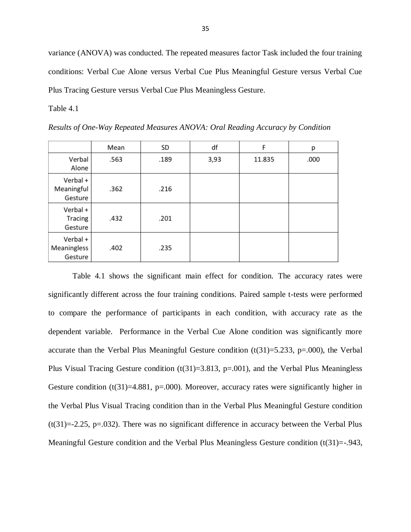variance (ANOVA) was conducted. The repeated measures factor Task included the four training conditions: Verbal Cue Alone versus Verbal Cue Plus Meaningful Gesture versus Verbal Cue Plus Tracing Gesture versus Verbal Cue Plus Meaningless Gesture.

Table 4.1

*Results of One-Way Repeated Measures ANOVA: Oral Reading Accuracy by Condition*

|                                    | Mean | SD   | df   | F      | р    |
|------------------------------------|------|------|------|--------|------|
| Verbal<br>Alone                    | .563 | .189 | 3,93 | 11.835 | .000 |
| Verbal +<br>Meaningful<br>Gesture  | .362 | .216 |      |        |      |
| Verbal +<br>Tracing<br>Gesture     | .432 | .201 |      |        |      |
| Verbal +<br>Meaningless<br>Gesture | .402 | .235 |      |        |      |

Table 4.1 shows the significant main effect for condition. The accuracy rates were significantly different across the four training conditions. Paired sample t-tests were performed to compare the performance of participants in each condition, with accuracy rate as the dependent variable. Performance in the Verbal Cue Alone condition was significantly more accurate than the Verbal Plus Meaningful Gesture condition  $(t(31)=5.233, p=.000)$ , the Verbal Plus Visual Tracing Gesture condition  $(t(31)=3.813, p=.001)$ , and the Verbal Plus Meaningless Gesture condition  $(t(31)=4.881, p=000)$ . Moreover, accuracy rates were significantly higher in the Verbal Plus Visual Tracing condition than in the Verbal Plus Meaningful Gesture condition  $(t(31)=2.25, p=.032)$ . There was no significant difference in accuracy between the Verbal Plus Meaningful Gesture condition and the Verbal Plus Meaningless Gesture condition (t(31)=-.943,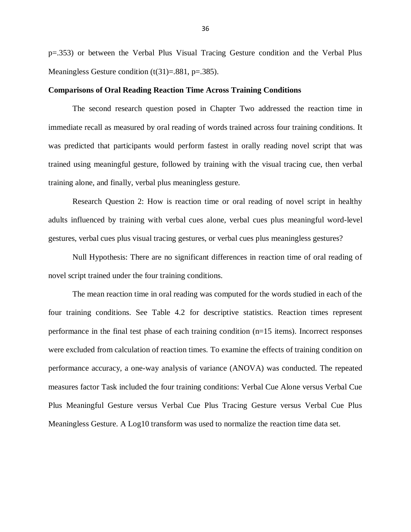p=.353) or between the Verbal Plus Visual Tracing Gesture condition and the Verbal Plus Meaningless Gesture condition  $(t(31)=.881, p=.385)$ .

#### **Comparisons of Oral Reading Reaction Time Across Training Conditions**

The second research question posed in Chapter Two addressed the reaction time in immediate recall as measured by oral reading of words trained across four training conditions. It was predicted that participants would perform fastest in orally reading novel script that was trained using meaningful gesture, followed by training with the visual tracing cue, then verbal training alone, and finally, verbal plus meaningless gesture.

Research Question 2: How is reaction time or oral reading of novel script in healthy adults influenced by training with verbal cues alone, verbal cues plus meaningful word-level gestures, verbal cues plus visual tracing gestures, or verbal cues plus meaningless gestures?

Null Hypothesis: There are no significant differences in reaction time of oral reading of novel script trained under the four training conditions.

The mean reaction time in oral reading was computed for the words studied in each of the four training conditions. See Table 4.2 for descriptive statistics. Reaction times represent performance in the final test phase of each training condition (n=15 items). Incorrect responses were excluded from calculation of reaction times. To examine the effects of training condition on performance accuracy, a one-way analysis of variance (ANOVA) was conducted. The repeated measures factor Task included the four training conditions: Verbal Cue Alone versus Verbal Cue Plus Meaningful Gesture versus Verbal Cue Plus Tracing Gesture versus Verbal Cue Plus Meaningless Gesture. A Log10 transform was used to normalize the reaction time data set.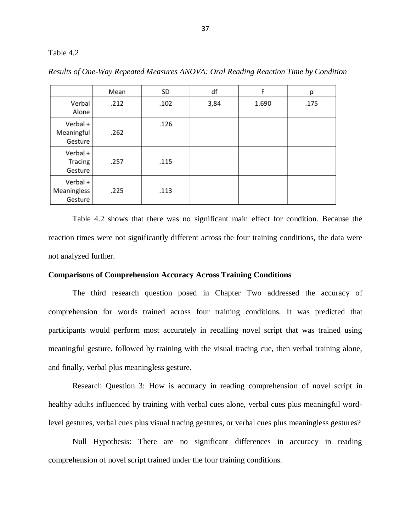#### Table 4.2

|                                    | Mean | SD   | df   | F     | р    |
|------------------------------------|------|------|------|-------|------|
| Verbal<br>Alone                    | .212 | .102 | 3,84 | 1.690 | .175 |
| Verbal +<br>Meaningful<br>Gesture  | .262 | .126 |      |       |      |
| Verbal +<br>Tracing<br>Gesture     | .257 | .115 |      |       |      |
| Verbal +<br>Meaningless<br>Gesture | .225 | .113 |      |       |      |

*Results of One-Way Repeated Measures ANOVA: Oral Reading Reaction Time by Condition*

Table 4.2 shows that there was no significant main effect for condition. Because the reaction times were not significantly different across the four training conditions, the data were not analyzed further.

# **Comparisons of Comprehension Accuracy Across Training Conditions**

The third research question posed in Chapter Two addressed the accuracy of comprehension for words trained across four training conditions. It was predicted that participants would perform most accurately in recalling novel script that was trained using meaningful gesture, followed by training with the visual tracing cue, then verbal training alone, and finally, verbal plus meaningless gesture.

Research Question 3: How is accuracy in reading comprehension of novel script in healthy adults influenced by training with verbal cues alone, verbal cues plus meaningful wordlevel gestures, verbal cues plus visual tracing gestures, or verbal cues plus meaningless gestures?

Null Hypothesis: There are no significant differences in accuracy in reading comprehension of novel script trained under the four training conditions.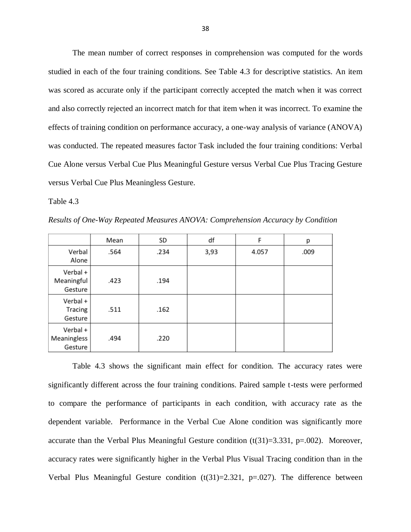The mean number of correct responses in comprehension was computed for the words studied in each of the four training conditions. See Table 4.3 for descriptive statistics. An item was scored as accurate only if the participant correctly accepted the match when it was correct and also correctly rejected an incorrect match for that item when it was incorrect. To examine the effects of training condition on performance accuracy, a one-way analysis of variance (ANOVA) was conducted. The repeated measures factor Task included the four training conditions: Verbal Cue Alone versus Verbal Cue Plus Meaningful Gesture versus Verbal Cue Plus Tracing Gesture versus Verbal Cue Plus Meaningless Gesture.

Table 4.3

*Results of One-Way Repeated Measures ANOVA: Comprehension Accuracy by Condition*

|                                    | Mean | SD   | df   | F     | р    |
|------------------------------------|------|------|------|-------|------|
| Verbal<br>Alone                    | .564 | .234 | 3,93 | 4.057 | .009 |
| Verbal +<br>Meaningful<br>Gesture  | .423 | .194 |      |       |      |
| Verbal +<br>Tracing<br>Gesture     | .511 | .162 |      |       |      |
| Verbal +<br>Meaningless<br>Gesture | .494 | .220 |      |       |      |

Table 4.3 shows the significant main effect for condition. The accuracy rates were significantly different across the four training conditions. Paired sample t-tests were performed to compare the performance of participants in each condition, with accuracy rate as the dependent variable. Performance in the Verbal Cue Alone condition was significantly more accurate than the Verbal Plus Meaningful Gesture condition  $(t(31)=3.331, p=.002)$ . Moreover, accuracy rates were significantly higher in the Verbal Plus Visual Tracing condition than in the Verbal Plus Meaningful Gesture condition  $(t(31)=2.321, p=.027)$ . The difference between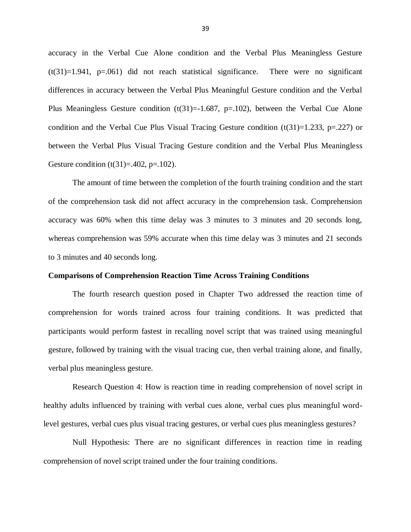accuracy in the Verbal Cue Alone condition and the Verbal Plus Meaningless Gesture  $(t(31)=1.941, p=.061)$  did not reach statistical significance. There were no significant differences in accuracy between the Verbal Plus Meaningful Gesture condition and the Verbal Plus Meaningless Gesture condition  $(t(31)=1.687, p=.102)$ , between the Verbal Cue Alone condition and the Verbal Cue Plus Visual Tracing Gesture condition  $(t(31)=1.233, p=.227)$  or between the Verbal Plus Visual Tracing Gesture condition and the Verbal Plus Meaningless Gesture condition  $(t(31)=.402, p=.102)$ .

The amount of time between the completion of the fourth training condition and the start of the comprehension task did not affect accuracy in the comprehension task. Comprehension accuracy was 60% when this time delay was 3 minutes to 3 minutes and 20 seconds long, whereas comprehension was 59% accurate when this time delay was 3 minutes and 21 seconds to 3 minutes and 40 seconds long.

#### **Comparisons of Comprehension Reaction Time Across Training Conditions**

The fourth research question posed in Chapter Two addressed the reaction time of comprehension for words trained across four training conditions. It was predicted that participants would perform fastest in recalling novel script that was trained using meaningful gesture, followed by training with the visual tracing cue, then verbal training alone, and finally, verbal plus meaningless gesture.

Research Question 4: How is reaction time in reading comprehension of novel script in healthy adults influenced by training with verbal cues alone, verbal cues plus meaningful wordlevel gestures, verbal cues plus visual tracing gestures, or verbal cues plus meaningless gestures?

Null Hypothesis: There are no significant differences in reaction time in reading comprehension of novel script trained under the four training conditions.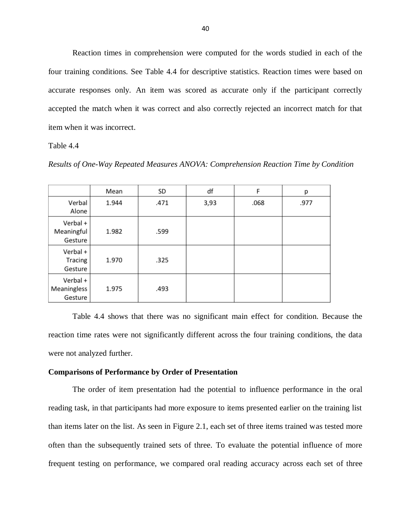Reaction times in comprehension were computed for the words studied in each of the four training conditions. See Table 4.4 for descriptive statistics. Reaction times were based on accurate responses only. An item was scored as accurate only if the participant correctly accepted the match when it was correct and also correctly rejected an incorrect match for that item when it was incorrect.

Table 4.4

*Results of One-Way Repeated Measures ANOVA: Comprehension Reaction Time by Condition*

|                                    | Mean  | SD   | df   | F    | р    |
|------------------------------------|-------|------|------|------|------|
| Verbal<br>Alone                    | 1.944 | .471 | 3,93 | .068 | .977 |
| Verbal +<br>Meaningful<br>Gesture  | 1.982 | .599 |      |      |      |
| Verbal +<br>Tracing<br>Gesture     | 1.970 | .325 |      |      |      |
| Verbal +<br>Meaningless<br>Gesture | 1.975 | .493 |      |      |      |

Table 4.4 shows that there was no significant main effect for condition. Because the reaction time rates were not significantly different across the four training conditions, the data were not analyzed further.

#### **Comparisons of Performance by Order of Presentation**

The order of item presentation had the potential to influence performance in the oral reading task, in that participants had more exposure to items presented earlier on the training list than items later on the list. As seen in Figure 2.1, each set of three items trained was tested more often than the subsequently trained sets of three. To evaluate the potential influence of more frequent testing on performance, we compared oral reading accuracy across each set of three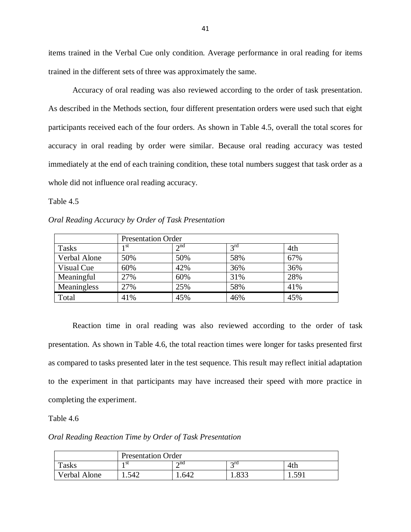items trained in the Verbal Cue only condition. Average performance in oral reading for items trained in the different sets of three was approximately the same.

Accuracy of oral reading was also reviewed according to the order of task presentation. As described in the Methods section, four different presentation orders were used such that eight participants received each of the four orders. As shown in Table 4.5, overall the total scores for accuracy in oral reading by order were similar. Because oral reading accuracy was tested immediately at the end of each training condition, these total numbers suggest that task order as a whole did not influence oral reading accuracy.

Table 4.5

*Oral Reading Accuracy by Order of Task Presentation*

|              | <b>Presentation Order</b> |          |                 |     |  |
|--------------|---------------------------|----------|-----------------|-----|--|
| <b>Tasks</b> | 1 St                      | $2^{nd}$ | $2^{\text{rd}}$ | 4th |  |
| Verbal Alone | 50%                       | 50%      | 58%             | 67% |  |
| Visual Cue   | 60%                       | 42%      | 36%             | 36% |  |
| Meaningful   | 27%                       | 60%      | 31%             | 28% |  |
| Meaningless  | 27%                       | 25%      | 58%             | 41% |  |
| Total        | 41%                       | 45%      | 46%             | 45% |  |

Reaction time in oral reading was also reviewed according to the order of task presentation. As shown in Table 4.6, the total reaction times were longer for tasks presented first as compared to tasks presented later in the test sequence. This result may reflect initial adaptation to the experiment in that participants may have increased their speed with more practice in completing the experiment.

Table 4.6

*Oral Reading Reaction Time by Order of Task Presentation*

|              | <b>Presentation Order</b> |                   |                   |                       |  |
|--------------|---------------------------|-------------------|-------------------|-----------------------|--|
| <b>Tasks</b> | 1 St                      | $\lambda$ nd<br>∸ | $\gamma$ rd<br>.  | 4th                   |  |
| Verbal Alone | .542                      | .642              | $\Omega$<br>1.0JJ | 5Q.<br>1.J <i>J</i> 1 |  |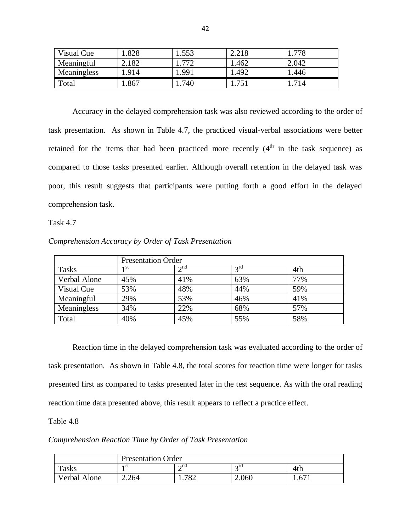| Visual Cue  | .828  | 1.553 | 2.218 | .778  |
|-------------|-------|-------|-------|-------|
| Meaningful  | 2.182 | 772   | 1.462 | 2.042 |
| Meaningless | .914  | .991  | 1.492 | 1.446 |
| Total       | 1.867 | 740   |       | 714   |

Accuracy in the delayed comprehension task was also reviewed according to the order of task presentation. As shown in Table 4.7, the practiced visual-verbal associations were better retained for the items that had been practiced more recently  $(4<sup>th</sup>$  in the task sequence) as compared to those tasks presented earlier. Although overall retention in the delayed task was poor, this result suggests that participants were putting forth a good effort in the delayed comprehension task.

Task 4.7

| Comprehension Accuracy by Order of Task Presentation |  |  |
|------------------------------------------------------|--|--|

|              | <b>Presentation Order</b> |             |          |     |
|--------------|---------------------------|-------------|----------|-----|
| <b>Tasks</b> | 1 st                      | $\gamma$ nd | $2^{rd}$ | 4th |
| Verbal Alone | 45%                       | 41%         | 63%      | 77% |
| Visual Cue   | 53%                       | 48%         | 44%      | 59% |
| Meaningful   | 29%                       | 53%         | 46%      | 41% |
| Meaningless  | 34%                       | 22%         | 68%      | 57% |
| Total        | 40%                       | 45%         | 55%      | 58% |

Reaction time in the delayed comprehension task was evaluated according to the order of task presentation. As shown in Table 4.8, the total scores for reaction time were longer for tasks presented first as compared to tasks presented later in the test sequence. As with the oral reading reaction time data presented above, this result appears to reflect a practice effect.

Table 4.8

*Comprehension Reaction Time by Order of Task Presentation*

|              | <b>Presentation Order</b> |              |             |      |
|--------------|---------------------------|--------------|-------------|------|
| Tasks        | 1 St                      | $\lambda$ nd | $\gamma$ rd | 4th  |
| Verbal Alone | 2.264                     | 782<br>.102  | 2.060       | .671 |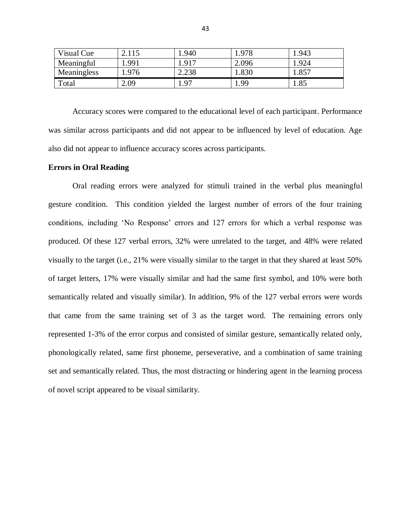| Visual Cue  | 2.115 | 1.940 | 1.978 | 1.943 |
|-------------|-------|-------|-------|-------|
| Meaningful  | 1.991 | 1.917 | 2.096 | 1.924 |
| Meaningless | .976  | 2.238 | 1.830 | 857   |
| Total       | 2.09  | 1.97  | . 99  | 1.85  |

Accuracy scores were compared to the educational level of each participant. Performance was similar across participants and did not appear to be influenced by level of education. Age also did not appear to influence accuracy scores across participants.

#### **Errors in Oral Reading**

Oral reading errors were analyzed for stimuli trained in the verbal plus meaningful gesture condition. This condition yielded the largest number of errors of the four training conditions, including 'No Response' errors and 127 errors for which a verbal response was produced. Of these 127 verbal errors, 32% were unrelated to the target, and 48% were related visually to the target (i.e., 21% were visually similar to the target in that they shared at least 50% of target letters, 17% were visually similar and had the same first symbol, and 10% were both semantically related and visually similar). In addition, 9% of the 127 verbal errors were words that came from the same training set of 3 as the target word. The remaining errors only represented 1-3% of the error corpus and consisted of similar gesture, semantically related only, phonologically related, same first phoneme, perseverative, and a combination of same training set and semantically related. Thus, the most distracting or hindering agent in the learning process of novel script appeared to be visual similarity.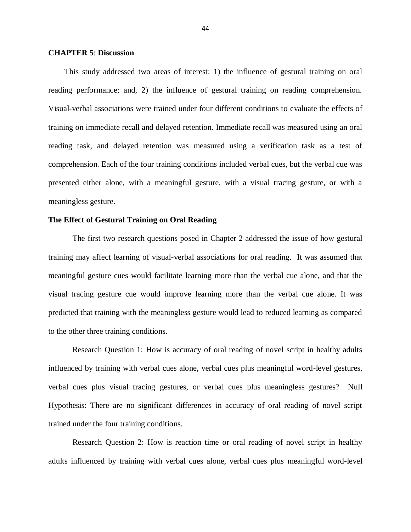#### **CHAPTER 5**: **Discussion**

This study addressed two areas of interest: 1) the influence of gestural training on oral reading performance; and, 2) the influence of gestural training on reading comprehension. Visual-verbal associations were trained under four different conditions to evaluate the effects of training on immediate recall and delayed retention. Immediate recall was measured using an oral reading task, and delayed retention was measured using a verification task as a test of comprehension. Each of the four training conditions included verbal cues, but the verbal cue was presented either alone, with a meaningful gesture, with a visual tracing gesture, or with a meaningless gesture.

#### **The Effect of Gestural Training on Oral Reading**

The first two research questions posed in Chapter 2 addressed the issue of how gestural training may affect learning of visual-verbal associations for oral reading. It was assumed that meaningful gesture cues would facilitate learning more than the verbal cue alone, and that the visual tracing gesture cue would improve learning more than the verbal cue alone. It was predicted that training with the meaningless gesture would lead to reduced learning as compared to the other three training conditions.

Research Question 1: How is accuracy of oral reading of novel script in healthy adults influenced by training with verbal cues alone, verbal cues plus meaningful word-level gestures, verbal cues plus visual tracing gestures, or verbal cues plus meaningless gestures? Null Hypothesis: There are no significant differences in accuracy of oral reading of novel script trained under the four training conditions.

Research Question 2: How is reaction time or oral reading of novel script in healthy adults influenced by training with verbal cues alone, verbal cues plus meaningful word-level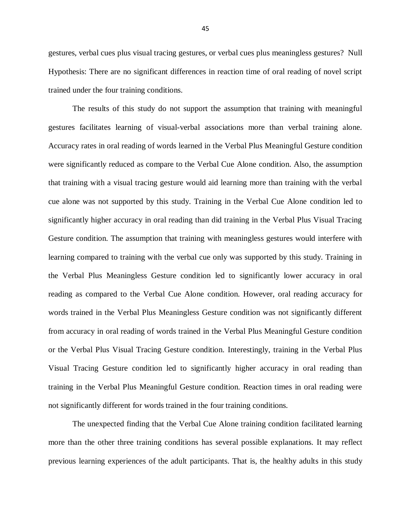gestures, verbal cues plus visual tracing gestures, or verbal cues plus meaningless gestures? Null Hypothesis: There are no significant differences in reaction time of oral reading of novel script trained under the four training conditions.

The results of this study do not support the assumption that training with meaningful gestures facilitates learning of visual-verbal associations more than verbal training alone. Accuracy rates in oral reading of words learned in the Verbal Plus Meaningful Gesture condition were significantly reduced as compare to the Verbal Cue Alone condition. Also, the assumption that training with a visual tracing gesture would aid learning more than training with the verbal cue alone was not supported by this study. Training in the Verbal Cue Alone condition led to significantly higher accuracy in oral reading than did training in the Verbal Plus Visual Tracing Gesture condition. The assumption that training with meaningless gestures would interfere with learning compared to training with the verbal cue only was supported by this study. Training in the Verbal Plus Meaningless Gesture condition led to significantly lower accuracy in oral reading as compared to the Verbal Cue Alone condition. However, oral reading accuracy for words trained in the Verbal Plus Meaningless Gesture condition was not significantly different from accuracy in oral reading of words trained in the Verbal Plus Meaningful Gesture condition or the Verbal Plus Visual Tracing Gesture condition. Interestingly, training in the Verbal Plus Visual Tracing Gesture condition led to significantly higher accuracy in oral reading than training in the Verbal Plus Meaningful Gesture condition. Reaction times in oral reading were not significantly different for words trained in the four training conditions.

The unexpected finding that the Verbal Cue Alone training condition facilitated learning more than the other three training conditions has several possible explanations. It may reflect previous learning experiences of the adult participants. That is, the healthy adults in this study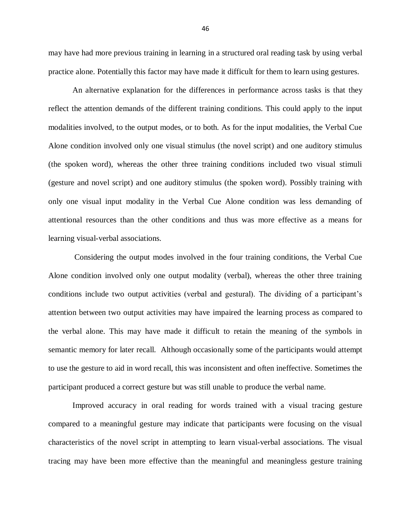may have had more previous training in learning in a structured oral reading task by using verbal practice alone. Potentially this factor may have made it difficult for them to learn using gestures.

An alternative explanation for the differences in performance across tasks is that they reflect the attention demands of the different training conditions. This could apply to the input modalities involved, to the output modes, or to both. As for the input modalities, the Verbal Cue Alone condition involved only one visual stimulus (the novel script) and one auditory stimulus (the spoken word), whereas the other three training conditions included two visual stimuli (gesture and novel script) and one auditory stimulus (the spoken word). Possibly training with only one visual input modality in the Verbal Cue Alone condition was less demanding of attentional resources than the other conditions and thus was more effective as a means for learning visual-verbal associations.

Considering the output modes involved in the four training conditions, the Verbal Cue Alone condition involved only one output modality (verbal), whereas the other three training conditions include two output activities (verbal and gestural). The dividing of a participant's attention between two output activities may have impaired the learning process as compared to the verbal alone. This may have made it difficult to retain the meaning of the symbols in semantic memory for later recall. Although occasionally some of the participants would attempt to use the gesture to aid in word recall, this was inconsistent and often ineffective. Sometimes the participant produced a correct gesture but was still unable to produce the verbal name.

Improved accuracy in oral reading for words trained with a visual tracing gesture compared to a meaningful gesture may indicate that participants were focusing on the visual characteristics of the novel script in attempting to learn visual-verbal associations. The visual tracing may have been more effective than the meaningful and meaningless gesture training

46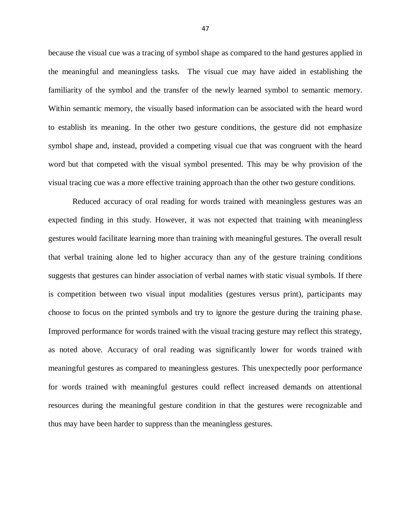because the visual cue was a tracing of symbol shape as compared to the hand gestures applied in the meaningful and meaningless tasks. The visual cue may have aided in establishing the familiarity of the symbol and the transfer of the newly learned symbol to semantic memory. Within semantic memory, the visually based information can be associated with the heard word to establish its meaning. In the other two gesture conditions, the gesture did not emphasize symbol shape and, instead, provided a competing visual cue that was congruent with the heard word but that competed with the visual symbol presented. This may be why provision of the visual tracing cue was a more effective training approach than the other two gesture conditions.

Reduced accuracy of oral reading for words trained with meaningless gestures was an expected finding in this study. However, it was not expected that training with meaningless gestures would facilitate learning more than training with meaningful gestures. The overall result that verbal training alone led to higher accuracy than any of the gesture training conditions suggests that gestures can hinder association of verbal names with static visual symbols. If there is competition between two visual input modalities (gestures versus print), participants may choose to focus on the printed symbols and try to ignore the gesture during the training phase. Improved performance for words trained with the visual tracing gesture may reflect this strategy, as noted above. Accuracy of oral reading was significantly lower for words trained with meaningful gestures as compared to meaningless gestures. This unexpectedly poor performance for words trained with meaningful gestures could reflect increased demands on attentional resources during the meaningful gesture condition in that the gestures were recognizable and thus may have been harder to suppress than the meaningless gestures.

47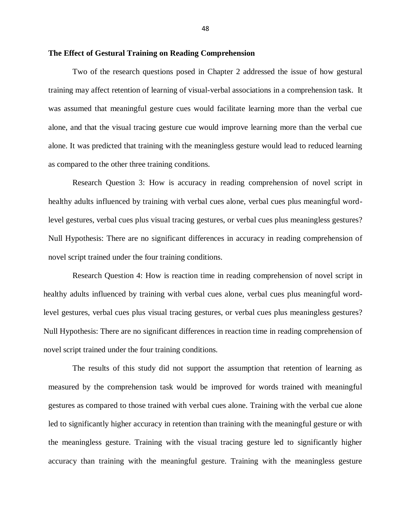#### **The Effect of Gestural Training on Reading Comprehension**

Two of the research questions posed in Chapter 2 addressed the issue of how gestural training may affect retention of learning of visual-verbal associations in a comprehension task. It was assumed that meaningful gesture cues would facilitate learning more than the verbal cue alone, and that the visual tracing gesture cue would improve learning more than the verbal cue alone. It was predicted that training with the meaningless gesture would lead to reduced learning as compared to the other three training conditions.

Research Question 3: How is accuracy in reading comprehension of novel script in healthy adults influenced by training with verbal cues alone, verbal cues plus meaningful wordlevel gestures, verbal cues plus visual tracing gestures, or verbal cues plus meaningless gestures? Null Hypothesis: There are no significant differences in accuracy in reading comprehension of novel script trained under the four training conditions.

Research Question 4: How is reaction time in reading comprehension of novel script in healthy adults influenced by training with verbal cues alone, verbal cues plus meaningful wordlevel gestures, verbal cues plus visual tracing gestures, or verbal cues plus meaningless gestures? Null Hypothesis: There are no significant differences in reaction time in reading comprehension of novel script trained under the four training conditions.

The results of this study did not support the assumption that retention of learning as measured by the comprehension task would be improved for words trained with meaningful gestures as compared to those trained with verbal cues alone. Training with the verbal cue alone led to significantly higher accuracy in retention than training with the meaningful gesture or with the meaningless gesture. Training with the visual tracing gesture led to significantly higher accuracy than training with the meaningful gesture. Training with the meaningless gesture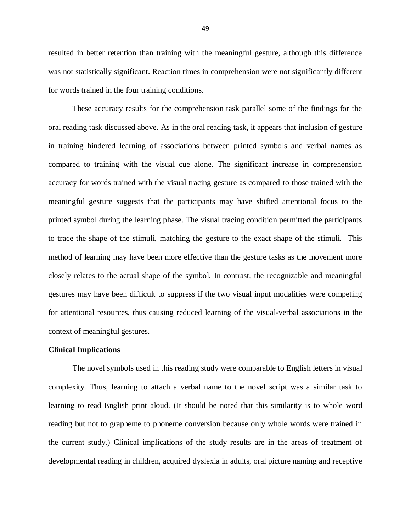resulted in better retention than training with the meaningful gesture, although this difference was not statistically significant. Reaction times in comprehension were not significantly different for words trained in the four training conditions.

These accuracy results for the comprehension task parallel some of the findings for the oral reading task discussed above. As in the oral reading task, it appears that inclusion of gesture in training hindered learning of associations between printed symbols and verbal names as compared to training with the visual cue alone. The significant increase in comprehension accuracy for words trained with the visual tracing gesture as compared to those trained with the meaningful gesture suggests that the participants may have shifted attentional focus to the printed symbol during the learning phase. The visual tracing condition permitted the participants to trace the shape of the stimuli, matching the gesture to the exact shape of the stimuli. This method of learning may have been more effective than the gesture tasks as the movement more closely relates to the actual shape of the symbol. In contrast, the recognizable and meaningful gestures may have been difficult to suppress if the two visual input modalities were competing for attentional resources, thus causing reduced learning of the visual-verbal associations in the context of meaningful gestures.

#### **Clinical Implications**

The novel symbols used in this reading study were comparable to English letters in visual complexity. Thus, learning to attach a verbal name to the novel script was a similar task to learning to read English print aloud. (It should be noted that this similarity is to whole word reading but not to grapheme to phoneme conversion because only whole words were trained in the current study.) Clinical implications of the study results are in the areas of treatment of developmental reading in children, acquired dyslexia in adults, oral picture naming and receptive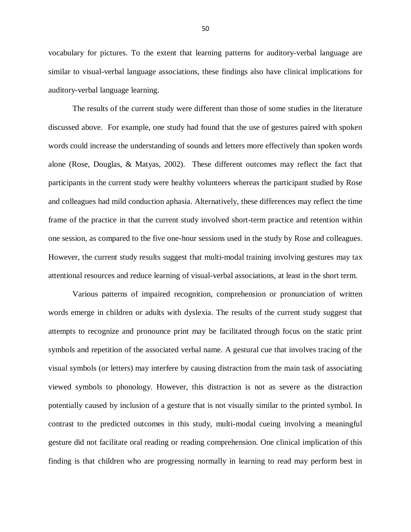vocabulary for pictures. To the extent that learning patterns for auditory-verbal language are similar to visual-verbal language associations, these findings also have clinical implications for auditory-verbal language learning.

The results of the current study were different than those of some studies in the literature discussed above. For example, one study had found that the use of gestures paired with spoken words could increase the understanding of sounds and letters more effectively than spoken words alone (Rose, Douglas, & Matyas, 2002). These different outcomes may reflect the fact that participants in the current study were healthy volunteers whereas the participant studied by Rose and colleagues had mild conduction aphasia. Alternatively, these differences may reflect the time frame of the practice in that the current study involved short-term practice and retention within one session, as compared to the five one-hour sessions used in the study by Rose and colleagues. However, the current study results suggest that multi-modal training involving gestures may tax attentional resources and reduce learning of visual-verbal associations, at least in the short term.

Various patterns of impaired recognition, comprehension or pronunciation of written words emerge in children or adults with dyslexia. The results of the current study suggest that attempts to recognize and pronounce print may be facilitated through focus on the static print symbols and repetition of the associated verbal name. A gestural cue that involves tracing of the visual symbols (or letters) may interfere by causing distraction from the main task of associating viewed symbols to phonology. However, this distraction is not as severe as the distraction potentially caused by inclusion of a gesture that is not visually similar to the printed symbol. In contrast to the predicted outcomes in this study, multi-modal cueing involving a meaningful gesture did not facilitate oral reading or reading comprehension. One clinical implication of this finding is that children who are progressing normally in learning to read may perform best in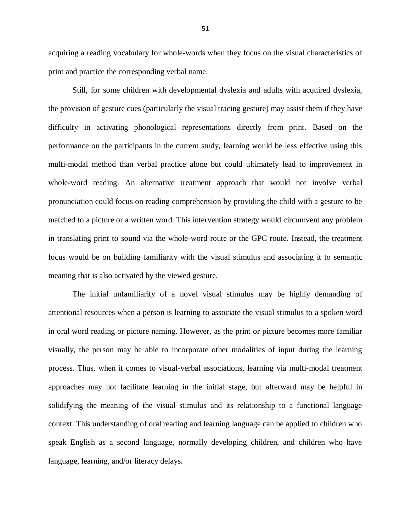acquiring a reading vocabulary for whole-words when they focus on the visual characteristics of print and practice the corresponding verbal name.

Still, for some children with developmental dyslexia and adults with acquired dyslexia, the provision of gesture cues (particularly the visual tracing gesture) may assist them if they have difficulty in activating phonological representations directly from print. Based on the performance on the participants in the current study, learning would be less effective using this multi-modal method than verbal practice alone but could ultimately lead to improvement in whole-word reading. An alternative treatment approach that would not involve verbal pronunciation could focus on reading comprehension by providing the child with a gesture to be matched to a picture or a written word. This intervention strategy would circumvent any problem in translating print to sound via the whole-word route or the GPC route. Instead, the treatment focus would be on building familiarity with the visual stimulus and associating it to semantic meaning that is also activated by the viewed gesture.

The initial unfamiliarity of a novel visual stimulus may be highly demanding of attentional resources when a person is learning to associate the visual stimulus to a spoken word in oral word reading or picture naming. However, as the print or picture becomes more familiar visually, the person may be able to incorporate other modalities of input during the learning process. Thus, when it comes to visual-verbal associations, learning via multi-modal treatment approaches may not facilitate learning in the initial stage, but afterward may be helpful in solidifying the meaning of the visual stimulus and its relationship to a functional language context. This understanding of oral reading and learning language can be applied to children who speak English as a second language, normally developing children, and children who have language, learning, and/or literacy delays.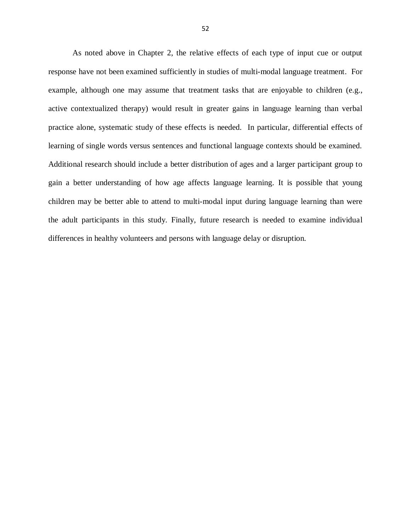As noted above in Chapter 2, the relative effects of each type of input cue or output response have not been examined sufficiently in studies of multi-modal language treatment. For example, although one may assume that treatment tasks that are enjoyable to children (e.g., active contextualized therapy) would result in greater gains in language learning than verbal practice alone, systematic study of these effects is needed. In particular, differential effects of learning of single words versus sentences and functional language contexts should be examined. Additional research should include a better distribution of ages and a larger participant group to gain a better understanding of how age affects language learning. It is possible that young children may be better able to attend to multi-modal input during language learning than were the adult participants in this study. Finally, future research is needed to examine individual differences in healthy volunteers and persons with language delay or disruption.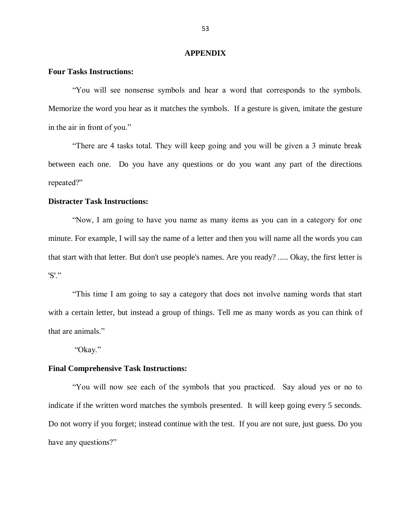#### **APPENDIX**

#### **Four Tasks Instructions:**

"You will see nonsense symbols and hear a word that corresponds to the symbols. Memorize the word you hear as it matches the symbols. If a gesture is given, imitate the gesture in the air in front of you."

"There are 4 tasks total. They will keep going and you will be given a 3 minute break between each one. Do you have any questions or do you want any part of the directions repeated?"

#### **Distracter Task Instructions:**

"Now, I am going to have you name as many items as you can in a category for one minute. For example, I will say the name of a letter and then you will name all the words you can that start with that letter. But don't use people's names. Are you ready? ..... Okay, the first letter is 'S'."

"This time I am going to say a category that does not involve naming words that start with a certain letter, but instead a group of things. Tell me as many words as you can think of that are animals."

"Okay."

#### **Final Comprehensive Task Instructions:**

"You will now see each of the symbols that you practiced. Say aloud yes or no to indicate if the written word matches the symbols presented. It will keep going every 5 seconds. Do not worry if you forget; instead continue with the test. If you are not sure, just guess. Do you have any questions?"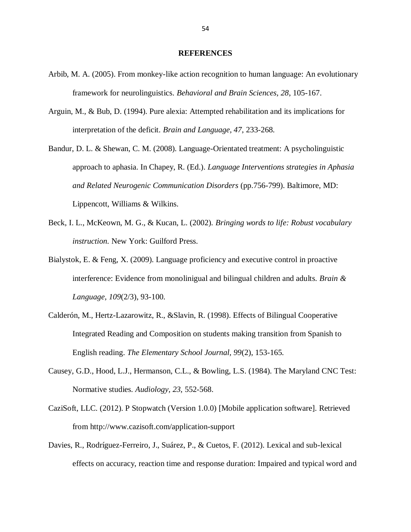#### **REFERENCES**

- Arbib, M. A. (2005). From monkey-like action recognition to human language: An evolutionary framework for neurolinguistics. *Behavioral and Brain Sciences, 28*, 105-167.
- Arguin, M., & Bub, D. (1994). Pure alexia: Attempted rehabilitation and its implications for interpretation of the deficit. *Brain and Language, 47*, 233-268.
- Bandur, D. L. & Shewan, C. M. (2008). Language-Orientated treatment: A psycholinguistic approach to aphasia. In Chapey, R. (Ed.). *Language Interventions strategies in Aphasia and Related Neurogenic Communication Disorders* (pp.756-799). Baltimore, MD: Lippencott, Williams & Wilkins.
- Beck, I. L., McKeown, M. G., & Kucan, L. (2002). *Bringing words to life: Robust vocabulary instruction.* New York: Guilford Press.
- Bialystok, E. & Feng, X. (2009). Language proficiency and executive control in proactive interference: Evidence from monolinigual and bilingual children and adults. *Brain & Language, 109*(2/3), 93-100.
- Calderón, M., Hertz-Lazarowitz, R., &Slavin, R. (1998). Effects of Bilingual Cooperative Integrated Reading and Composition on students making transition from Spanish to English reading. *The Elementary School Journal, 99*(2), 153-165.
- Causey, G.D., Hood, L.J., Hermanson, C.L., & Bowling, L.S. (1984). The Maryland CNC Test: Normative studies. *Audiology, 23*, 552-568.
- CaziSoft, LLC. (2012). P Stopwatch (Version 1.0.0) [Mobile application software]. Retrieved from http://www.cazisoft.com/application-support
- Davies, R., Rodríguez-Ferreiro, J., Suárez, P., & Cuetos, F. (2012). Lexical and sub-lexical effects on accuracy, reaction time and response duration: Impaired and typical word and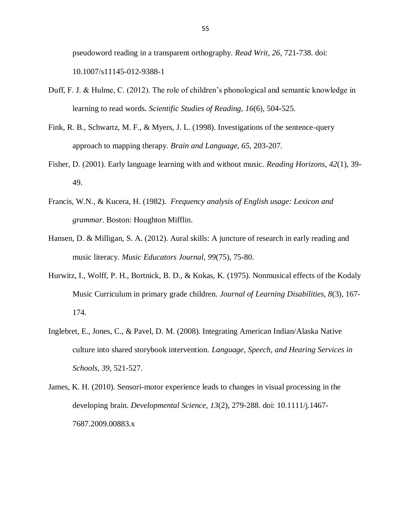pseudoword reading in a transparent orthography. *Read Writ, 26,* 721-738. doi: 10.1007/s11145-012-9388-1

- Duff, F. J. & Hulme, C. (2012). The role of children's phonological and semantic knowledge in learning to read words. *Scientific Studies of Reading, 16*(6), 504-525.
- Fink, R. B., Schwartz, M. F., & Myers, J. L. (1998). Investigations of the sentence-query approach to mapping therapy. *Brain and Language, 65*, 203-207.
- Fisher, D. (2001). Early language learning with and without music. *Reading Horizons, 42*(1), 39- 49.
- Francis, W.N., & Kucera, H. (1982). *Frequency analysis of English usage: Lexicon and grammar*. Boston: Houghton Mifflin.
- Hansen, D. & Milligan, S. A. (2012). Aural skills: A juncture of research in early reading and music literacy. *Music Educators Journal, 99*(75), 75-80.
- Hurwitz, I., Wolff, P. H., Bortnick, B. D., & Kokas, K. (1975). Nonmusical effects of the Kodaly Music Curriculum in primary grade children. *Journal of Learning Disabilities, 8*(3), 167- 174.
- Inglebret, E., Jones, C., & Pavel, D. M. (2008). Integrating American Indian/Alaska Native culture into shared storybook intervention. *Language, Speech, and Hearing Services in Schools, 39,* 521-527.

James, K. H. (2010). Sensori-motor experience leads to changes in visual processing in the developing brain. *Developmental Science, 13*(2), 279-288. doi: 10.1111/j.1467- 7687.2009.00883.x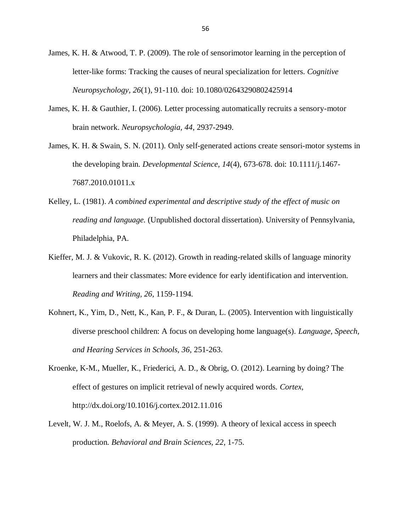- James, K. H. & Atwood, T. P. (2009). The role of sensorimotor learning in the perception of letter-like forms: Tracking the causes of neural specialization for letters. *Cognitive Neuropsychology, 26*(1), 91-110. doi: 10.1080/02643290802425914
- James, K. H. & Gauthier, I. (2006). Letter processing automatically recruits a sensory-motor brain network. *Neuropsychologia, 44*, 2937-2949.
- James, K. H. & Swain, S. N. (2011). Only self-generated actions create sensori-motor systems in the developing brain. *Developmental Science, 14*(4), 673-678. doi: 10.1111/j.1467- 7687.2010.01011.x
- Kelley, L. (1981). *A combined experimental and descriptive study of the effect of music on reading and language.* (Unpublished doctoral dissertation). University of Pennsylvania, Philadelphia, PA.
- Kieffer, M. J. & Vukovic, R. K. (2012). Growth in reading-related skills of language minority learners and their classmates: More evidence for early identification and intervention. *Reading and Writing, 26,* 1159-1194.
- Kohnert, K., Yim, D., Nett, K., Kan, P. F., & Duran, L. (2005). Intervention with linguistically diverse preschool children: A focus on developing home language(s). *Language, Speech, and Hearing Services in Schools, 36*, 251-263.
- Kroenke, K-M., Mueller, K., Friederici, A. D., & Obrig, O. (2012). Learning by doing? The effect of gestures on implicit retrieval of newly acquired words. *Cortex,*  http://dx.doi.org/10.1016/j.cortex.2012.11.016
- Levelt, W. J. M., Roelofs, A. & Meyer, A. S. (1999). A theory of lexical access in speech production. *Behavioral and Brain Sciences, 22*, 1-75.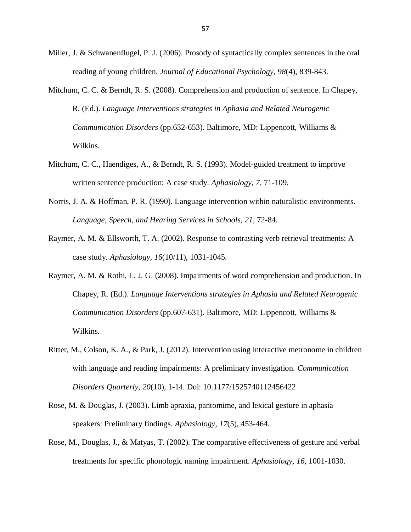- Miller, J. & Schwanenflugel, P. J. (2006). Prosody of syntactically complex sentences in the oral reading of young children. *Journal of Educational Psychology, 98*(4), 839-843.
- Mitchum, C. C. & Berndt, R. S. (2008). Comprehension and production of sentence. In Chapey, R. (Ed.). *Language Interventions strategies in Aphasia and Related Neurogenic Communication Disorders* (pp.632-653). Baltimore, MD: Lippencott, Williams & Wilkins.
- Mitchum, C. C., Haendiges, A., & Berndt, R. S. (1993). Model-guided treatment to improve written sentence production: A case study. *Aphasiology, 7*, 71-109.
- Norris, J. A. & Hoffman, P. R. (1990). Language intervention within naturalistic environments. *Language, Speech, and Hearing Services in Schools, 21*, 72-84.
- Raymer, A. M. & Ellsworth, T. A. (2002). Response to contrasting verb retrieval treatments: A case study. *Aphasiology, 16*(10/11), 1031-1045.
- Raymer, A. M. & Rothi, L. J. G. (2008). Impairments of word comprehension and production. In Chapey, R. (Ed.). *Language Interventions strategies in Aphasia and Related Neurogenic Communication Disorders* (pp.607-631). Baltimore, MD: Lippencott, Williams & Wilkins.
- Ritter, M., Colson, K. A., & Park, J. (2012). Intervention using interactive metronome in children with language and reading impairments: A preliminary investigation. *Communication Disorders Quarterly, 20*(10), 1-14. Doi: 10.1177/1525740112456422
- Rose, M. & Douglas, J. (2003). Limb apraxia, pantomime, and lexical gesture in aphasia speakers: Preliminary findings. *Aphasiology, 17*(5), 453-464.
- Rose, M., Douglas, J., & Matyas, T. (2002). The comparative effectiveness of gesture and verbal treatments for specific phonologic naming impairment. *Aphasiology, 16*, 1001-1030.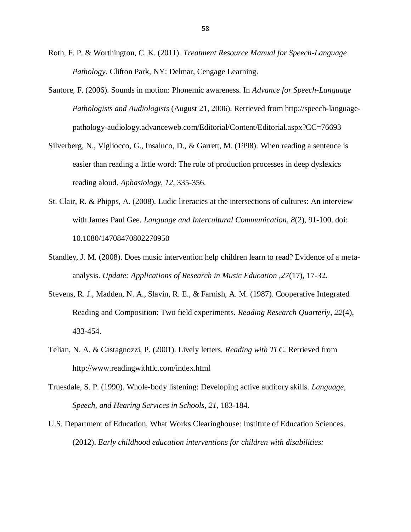- Roth, F. P. & Worthington, C. K. (2011). *Treatment Resource Manual for Speech-Language Pathology.* Clifton Park, NY: Delmar, Cengage Learning.
- Santore, F. (2006). Sounds in motion: Phonemic awareness. In *Advance for Speech-Language Pathologists and Audiologists* (August 21, 2006). Retrieved from http://speech-languagepathology-audiology.advanceweb.com/Editorial/Content/Editorial.aspx?CC=76693
- Silverberg, N., Vigliocco, G., Insaluco, D., & Garrett, M. (1998). When reading a sentence is easier than reading a little word: The role of production processes in deep dyslexics reading aloud. *Aphasiology, 12*, 335-356.
- St. Clair, R. & Phipps, A. (2008). Ludic literacies at the intersections of cultures: An interview with James Paul Gee. *Language and Intercultural Communication, 8*(2), 91-100. doi: 10.1080/14708470802270950
- Standley, J. M. (2008). Does music intervention help children learn to read? Evidence of a metaanalysis. *Update: Applications of Research in Music Education ,27*(17), 17-32.
- Stevens, R. J., Madden, N. A., Slavin, R. E., & Farnish, A. M. (1987). Cooperative Integrated Reading and Composition: Two field experiments. *Reading Research Quarterly, 22*(4), 433-454.
- Telian, N. A. & Castagnozzi, P. (2001). Lively letters. *Reading with TLC.* Retrieved from http://www.readingwithtlc.com/index.html
- Truesdale, S. P. (1990). Whole-body listening: Developing active auditory skills. *Language, Speech, and Hearing Services in Schools, 21*, 183-184.
- U.S. Department of Education, What Works Clearinghouse: Institute of Education Sciences. (2012). *Early childhood education interventions for children with disabilities:*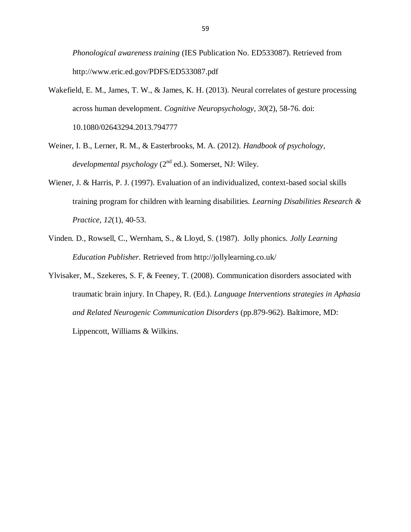*Phonological awareness training* (IES Publication No. ED533087). Retrieved from http://www.eric.ed.gov/PDFS/ED533087.pdf

- Wakefield, E. M., James, T. W., & James, K. H. (2013). Neural correlates of gesture processing across human development. *Cognitive Neuropsychology, 30*(2), 58-76. doi: 10.1080/02643294.2013.794777
- Weiner, I. B., Lerner, R. M., & Easterbrooks, M. A. (2012). *Handbook of psychology, developmental psychology* (2nd ed.). Somerset, NJ: Wiley.
- Wiener, J. & Harris, P. J. (1997). Evaluation of an individualized, context-based social skills training program for children with learning disabilities. *Learning Disabilities Research & Practice, 12*(1), 40-53.
- Vinden. D., Rowsell, C., Wernham, S., & Lloyd, S. (1987). Jolly phonics. *Jolly Learning Education Publisher.* Retrieved from http://jollylearning.co.uk/
- Ylvisaker, M., Szekeres, S. F, & Feeney, T. (2008). Communication disorders associated with traumatic brain injury. In Chapey, R. (Ed.). *Language Interventions strategies in Aphasia and Related Neurogenic Communication Disorders* (pp.879-962). Baltimore, MD: Lippencott, Williams & Wilkins.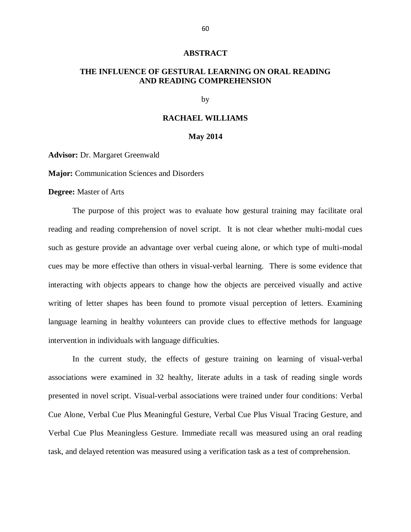#### **ABSTRACT**

# **THE INFLUENCE OF GESTURAL LEARNING ON ORAL READING AND READING COMPREHENSION**

by

#### **RACHAEL WILLIAMS**

#### **May 2014**

**Advisor:** Dr. Margaret Greenwald

**Major:** Communication Sciences and Disorders

**Degree:** Master of Arts

The purpose of this project was to evaluate how gestural training may facilitate oral reading and reading comprehension of novel script. It is not clear whether multi-modal cues such as gesture provide an advantage over verbal cueing alone, or which type of multi-modal cues may be more effective than others in visual-verbal learning. There is some evidence that interacting with objects appears to change how the objects are perceived visually and active writing of letter shapes has been found to promote visual perception of letters. Examining language learning in healthy volunteers can provide clues to effective methods for language intervention in individuals with language difficulties.

In the current study, the effects of gesture training on learning of visual-verbal associations were examined in 32 healthy, literate adults in a task of reading single words presented in novel script. Visual-verbal associations were trained under four conditions: Verbal Cue Alone, Verbal Cue Plus Meaningful Gesture, Verbal Cue Plus Visual Tracing Gesture, and Verbal Cue Plus Meaningless Gesture. Immediate recall was measured using an oral reading task, and delayed retention was measured using a verification task as a test of comprehension.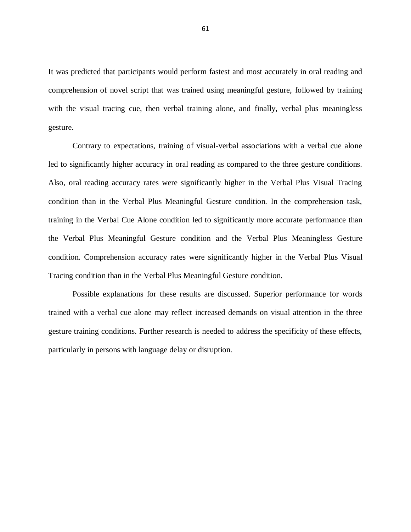It was predicted that participants would perform fastest and most accurately in oral reading and comprehension of novel script that was trained using meaningful gesture, followed by training with the visual tracing cue, then verbal training alone, and finally, verbal plus meaningless gesture.

Contrary to expectations, training of visual-verbal associations with a verbal cue alone led to significantly higher accuracy in oral reading as compared to the three gesture conditions. Also, oral reading accuracy rates were significantly higher in the Verbal Plus Visual Tracing condition than in the Verbal Plus Meaningful Gesture condition. In the comprehension task, training in the Verbal Cue Alone condition led to significantly more accurate performance than the Verbal Plus Meaningful Gesture condition and the Verbal Plus Meaningless Gesture condition. Comprehension accuracy rates were significantly higher in the Verbal Plus Visual Tracing condition than in the Verbal Plus Meaningful Gesture condition.

Possible explanations for these results are discussed. Superior performance for words trained with a verbal cue alone may reflect increased demands on visual attention in the three gesture training conditions. Further research is needed to address the specificity of these effects, particularly in persons with language delay or disruption.